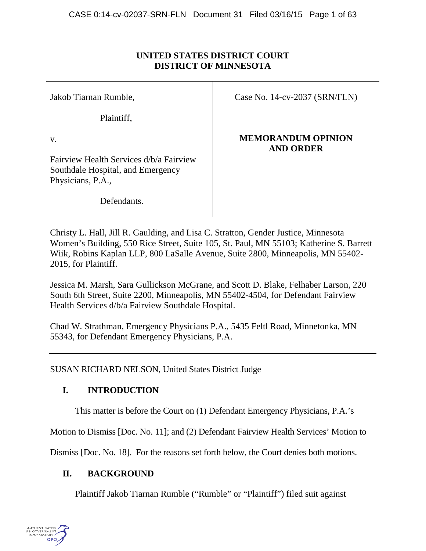# **UNITED STATES DISTRICT COURT DISTRICT OF MINNESOTA**

Jakob Tiarnan Rumble,

Plaintiff,

Case No. 14-cv-2037 (SRN/FLN)

v.

Fairview Health Services d/b/a Fairview Southdale Hospital, and Emergency Physicians, P.A.,

Defendants.

**MEMORANDUM OPINION AND ORDER**

Christy L. Hall, Jill R. Gaulding, and Lisa C. Stratton, Gender Justice, Minnesota Women's Building, 550 Rice Street, Suite 105, St. Paul, MN 55103; Katherine S. Barrett Wiik, Robins Kaplan LLP, 800 LaSalle Avenue, Suite 2800, Minneapolis, MN 55402- 2015, for Plaintiff.

Jessica M. Marsh, Sara Gullickson McGrane, and Scott D. Blake, Felhaber Larson, 220 South 6th Street, Suite 2200, Minneapolis, MN 55402-4504, for Defendant Fairview Health Services d/b/a Fairview Southdale Hospital.

Chad W. Strathman, Emergency Physicians P.A., 5435 Feltl Road, Minnetonka, MN 55343, for Defendant Emergency Physicians, P.A.

SUSAN RICHARD NELSON, United States District Judge

# **I. INTRODUCTION**

This matter is before the Court on (1) Defendant Emergency Physicians, P.A.'s

Motion to Dismiss [Doc. No. 11]; and (2) Defendant Fairview Health Services' Motion to

Dismiss [Doc. No. 18]. For the reasons set forth below, the Court denies both motions.

# **II. BACKGROUND**

Plaintiff Jakob Tiarnan Rumble ("Rumble" or "Plaintiff") filed suit against

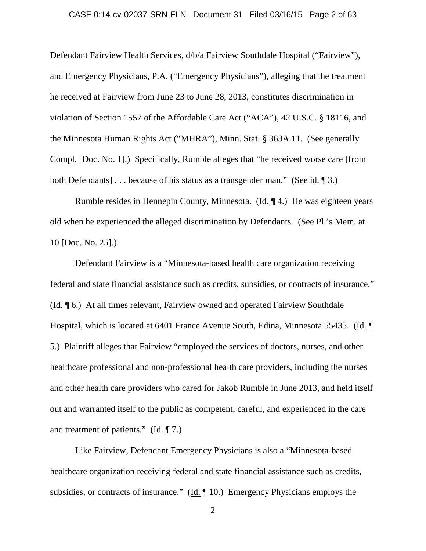# CASE 0:14-cv-02037-SRN-FLN Document 31 Filed 03/16/15 Page 2 of 63

Defendant Fairview Health Services, d/b/a Fairview Southdale Hospital ("Fairview"), and Emergency Physicians, P.A. ("Emergency Physicians"), alleging that the treatment he received at Fairview from June 23 to June 28, 2013, constitutes discrimination in violation of Section 1557 of the Affordable Care Act ("ACA"), 42 U.S.C. § 18116, and the Minnesota Human Rights Act ("MHRA"), Minn. Stat. § 363A.11. (See generally Compl. [Doc. No. 1].) Specifically, Rumble alleges that "he received worse care [from both Defendants] . . . because of his status as a transgender man." (See id. ¶ 3.)

Rumble resides in Hennepin County, Minnesota. (Id. ¶ 4.) He was eighteen years old when he experienced the alleged discrimination by Defendants. (See Pl.'s Mem. at 10 [Doc. No. 25].)

Defendant Fairview is a "Minnesota-based health care organization receiving federal and state financial assistance such as credits, subsidies, or contracts of insurance." (Id. ¶ 6.) At all times relevant, Fairview owned and operated Fairview Southdale Hospital, which is located at 6401 France Avenue South, Edina, Minnesota 55435. (Id. ¶ 5.) Plaintiff alleges that Fairview "employed the services of doctors, nurses, and other healthcare professional and non-professional health care providers, including the nurses and other health care providers who cared for Jakob Rumble in June 2013, and held itself out and warranted itself to the public as competent, careful, and experienced in the care and treatment of patients." (Id. ¶ 7.)

Like Fairview, Defendant Emergency Physicians is also a "Minnesota-based healthcare organization receiving federal and state financial assistance such as credits, subsidies, or contracts of insurance." ( $\underline{Id}$ .  $\P$  10.) Emergency Physicians employs the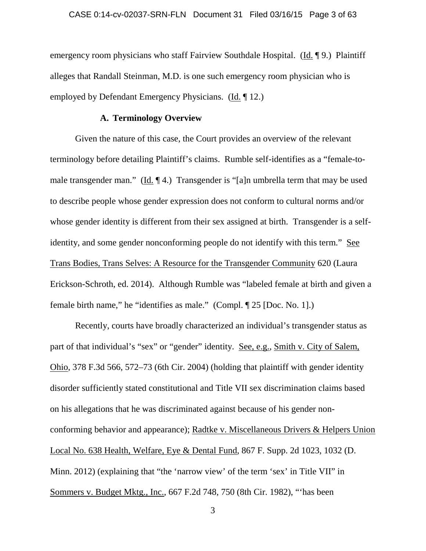emergency room physicians who staff Fairview Southdale Hospital. (Id. 19.) Plaintiff alleges that Randall Steinman, M.D. is one such emergency room physician who is employed by Defendant Emergency Physicians. (Id. ¶ 12.)

## **A. Terminology Overview**

Given the nature of this case, the Court provides an overview of the relevant terminology before detailing Plaintiff's claims. Rumble self-identifies as a "female-tomale transgender man." (Id. ¶ 4.) Transgender is "[a]n umbrella term that may be used to describe people whose gender expression does not conform to cultural norms and/or whose gender identity is different from their sex assigned at birth. Transgender is a selfidentity, and some gender nonconforming people do not identify with this term." See Trans Bodies, Trans Selves: A Resource for the Transgender Community 620 (Laura Erickson-Schroth, ed. 2014). Although Rumble was "labeled female at birth and given a female birth name," he "identifies as male." (Compl. ¶ 25 [Doc. No. 1].)

Recently, courts have broadly characterized an individual's transgender status as part of that individual's "sex" or "gender" identity. See, e.g., Smith v. City of Salem, Ohio, 378 F.3d 566, 572–73 (6th Cir. 2004) (holding that plaintiff with gender identity disorder sufficiently stated constitutional and Title VII sex discrimination claims based on his allegations that he was discriminated against because of his gender nonconforming behavior and appearance); Radtke v. Miscellaneous Drivers & Helpers Union Local No. 638 Health, Welfare, Eye & Dental Fund, 867 F. Supp. 2d 1023, 1032 (D. Minn. 2012) (explaining that "the 'narrow view' of the term 'sex' in Title VII" in Sommers v. Budget Mktg., Inc., 667 F.2d 748, 750 (8th Cir. 1982), "'has been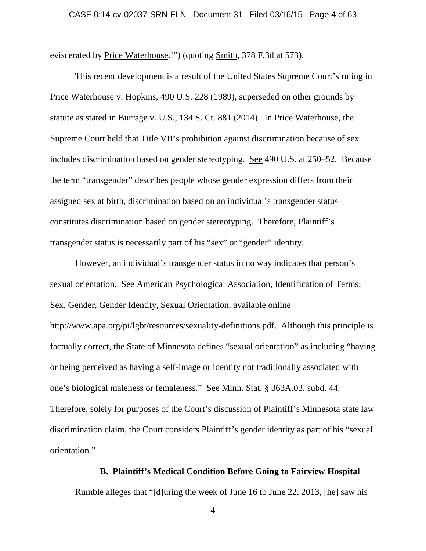eviscerated by Price Waterhouse.'") (quoting Smith, 378 F.3d at 573).

This recent development is a result of the United States Supreme Court's ruling in Price Waterhouse v. Hopkins, 490 U.S. 228 (1989), superseded on other grounds by statute as stated in Burrage v. U.S., 134 S. Ct. 881 (2014). In Price Waterhouse, the Supreme Court held that Title VII's prohibition against discrimination because of sex includes discrimination based on gender stereotyping. See 490 U.S. at 250–52. Because the term "transgender" describes people whose gender expression differs from their assigned sex at birth, discrimination based on an individual's transgender status constitutes discrimination based on gender stereotyping. Therefore, Plaintiff's transgender status is necessarily part of his "sex" or "gender" identity.

However, an individual's transgender status in no way indicates that person's sexual orientation. See American Psychological Association, Identification of Terms: Sex, Gender, Gender Identity, Sexual Orientation, available online http://www.apa.org/pi/lgbt/resources/sexuality-definitions.pdf. Although this principle is factually correct, the State of Minnesota defines "sexual orientation" as including "having or being perceived as having a self-image or identity not traditionally associated with one's biological maleness or femaleness." See Minn. Stat. § 363A.03, subd. 44. Therefore, solely for purposes of the Court's discussion of Plaintiff's Minnesota state law discrimination claim, the Court considers Plaintiff's gender identity as part of his "sexual orientation."

### **B. Plaintiff's Medical Condition Before Going to Fairview Hospital**

Rumble alleges that "[d]uring the week of June 16 to June 22, 2013, [he] saw his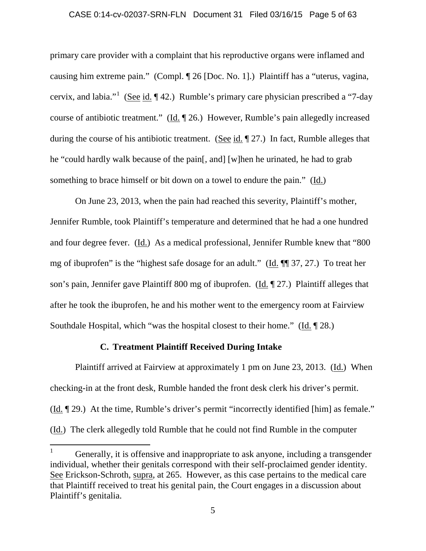### CASE 0:14-cv-02037-SRN-FLN Document 31 Filed 03/16/15 Page 5 of 63

primary care provider with a complaint that his reproductive organs were inflamed and causing him extreme pain." (Compl. ¶ 26 [Doc. No. 1].) Plaintiff has a "uterus, vagina, cervix, and labia."<sup>1</sup> (See id.  $\P$  42.) Rumble's primary care physician prescribed a "7-day course of antibiotic treatment." (Id. 126.) However, Rumble's pain allegedly increased during the course of his antibiotic treatment. (See id. ¶ 27.) In fact, Rumble alleges that he "could hardly walk because of the pain[, and] [w]hen he urinated, he had to grab something to brace himself or bit down on a towel to endure the pain." (Id.)

On June 23, 2013, when the pain had reached this severity, Plaintiff's mother, Jennifer Rumble, took Plaintiff's temperature and determined that he had a one hundred and four degree fever. (Id.) As a medical professional, Jennifer Rumble knew that "800 mg of ibuprofen" is the "highest safe dosage for an adult." (Id. ¶¶ 37, 27.) To treat her son's pain, Jennifer gave Plaintiff 800 mg of ibuprofen. (Id. ¶ 27.) Plaintiff alleges that after he took the ibuprofen, he and his mother went to the emergency room at Fairview Southdale Hospital, which "was the hospital closest to their home." (Id. ¶ 28.)

### **C. Treatment Plaintiff Received During Intake**

Plaintiff arrived at Fairview at approximately 1 pm on June 23, 2013. (Id.) When checking-in at the front desk, Rumble handed the front desk clerk his driver's permit. (Id. ¶ 29.) At the time, Rumble's driver's permit "incorrectly identified [him] as female." (Id.) The clerk allegedly told Rumble that he could not find Rumble in the computer

 <sup>1</sup> Generally, it is offensive and inappropriate to ask anyone, including a transgender individual, whether their genitals correspond with their self-proclaimed gender identity. See Erickson-Schroth, supra, at 265. However, as this case pertains to the medical care that Plaintiff received to treat his genital pain, the Court engages in a discussion about Plaintiff's genitalia.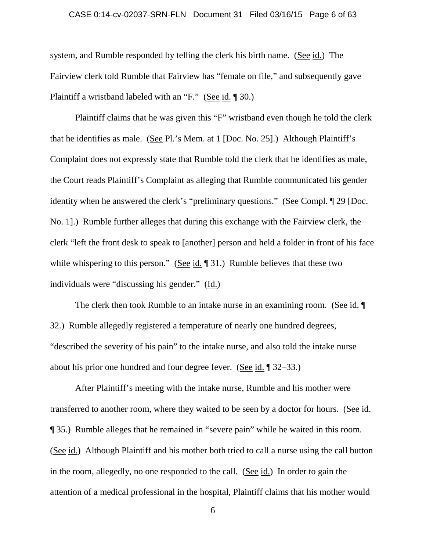#### CASE 0:14-cv-02037-SRN-FLN Document 31 Filed 03/16/15 Page 6 of 63

system, and Rumble responded by telling the clerk his birth name. (See id.) The Fairview clerk told Rumble that Fairview has "female on file," and subsequently gave Plaintiff a wristband labeled with an "F." (See id. ¶ 30.)

Plaintiff claims that he was given this "F" wristband even though he told the clerk that he identifies as male. (See Pl.'s Mem. at 1 [Doc. No. 25].) Although Plaintiff's Complaint does not expressly state that Rumble told the clerk that he identifies as male, the Court reads Plaintiff's Complaint as alleging that Rumble communicated his gender identity when he answered the clerk's "preliminary questions." (See Compl. ¶ 29 [Doc. No. 1].) Rumble further alleges that during this exchange with the Fairview clerk, the clerk "left the front desk to speak to [another] person and held a folder in front of his face while whispering to this person." (See id.  $\llbracket 31 \rrbracket$ ) Rumble believes that these two individuals were "discussing his gender." (Id.)

The clerk then took Rumble to an intake nurse in an examining room. (See id. ¶ 32.) Rumble allegedly registered a temperature of nearly one hundred degrees, "described the severity of his pain" to the intake nurse, and also told the intake nurse about his prior one hundred and four degree fever. (See id. ¶ 32–33.)

After Plaintiff's meeting with the intake nurse, Rumble and his mother were transferred to another room, where they waited to be seen by a doctor for hours. (See id. ¶ 35.) Rumble alleges that he remained in "severe pain" while he waited in this room. (See id.) Although Plaintiff and his mother both tried to call a nurse using the call button in the room, allegedly, no one responded to the call. (See id.) In order to gain the attention of a medical professional in the hospital, Plaintiff claims that his mother would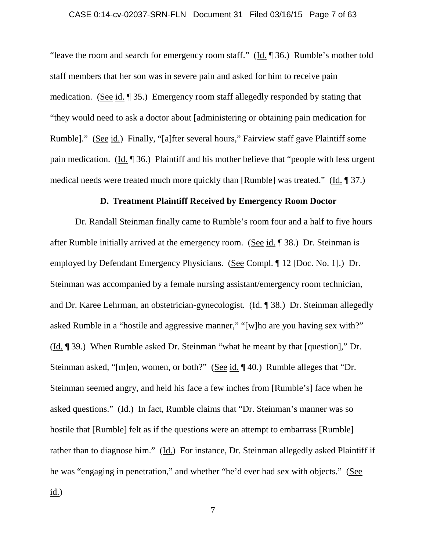### CASE 0:14-cv-02037-SRN-FLN Document 31 Filed 03/16/15 Page 7 of 63

"leave the room and search for emergency room staff."  $(\underline{Id} \cdot \P \ 36.)$  Rumble's mother told staff members that her son was in severe pain and asked for him to receive pain medication. (See id. ¶ 35.) Emergency room staff allegedly responded by stating that "they would need to ask a doctor about [administering or obtaining pain medication for Rumble]." (See id.) Finally, "[a]fter several hours," Fairview staff gave Plaintiff some pain medication. (Id. ¶ 36.) Plaintiff and his mother believe that "people with less urgent medical needs were treated much more quickly than [Rumble] was treated." (Id. ¶ 37.)

### **D. Treatment Plaintiff Received by Emergency Room Doctor**

Dr. Randall Steinman finally came to Rumble's room four and a half to five hours after Rumble initially arrived at the emergency room. (See id. ¶ 38.) Dr. Steinman is employed by Defendant Emergency Physicians. (See Compl. ¶ 12 [Doc. No. 1].) Dr. Steinman was accompanied by a female nursing assistant/emergency room technician, and Dr. Karee Lehrman, an obstetrician-gynecologist. (Id. ¶ 38.) Dr. Steinman allegedly asked Rumble in a "hostile and aggressive manner," "[w]ho are you having sex with?" (Id. ¶ 39.) When Rumble asked Dr. Steinman "what he meant by that [question]," Dr. Steinman asked, "[m]en, women, or both?" (See id. ¶ 40.) Rumble alleges that "Dr. Steinman seemed angry, and held his face a few inches from [Rumble's] face when he asked questions." (Id.) In fact, Rumble claims that "Dr. Steinman's manner was so hostile that [Rumble] felt as if the questions were an attempt to embarrass [Rumble] rather than to diagnose him." (Id.) For instance, Dr. Steinman allegedly asked Plaintiff if he was "engaging in penetration," and whether "he'd ever had sex with objects." (See id.)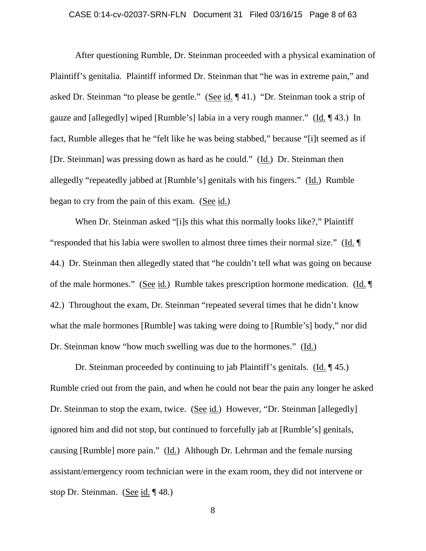### CASE 0:14-cv-02037-SRN-FLN Document 31 Filed 03/16/15 Page 8 of 63

After questioning Rumble, Dr. Steinman proceeded with a physical examination of Plaintiff's genitalia. Plaintiff informed Dr. Steinman that "he was in extreme pain," and asked Dr. Steinman "to please be gentle." (See id. ¶ 41.) "Dr. Steinman took a strip of gauze and [allegedly] wiped [Rumble's] labia in a very rough manner." (Id. ¶ 43.) In fact, Rumble alleges that he "felt like he was being stabbed," because "[i]t seemed as if [Dr. Steinman] was pressing down as hard as he could." (Id.) Dr. Steinman then allegedly "repeatedly jabbed at [Rumble's] genitals with his fingers." (Id.) Rumble began to cry from the pain of this exam. (See id.)

When Dr. Steinman asked "[i]s this what this normally looks like?," Plaintiff "responded that his labia were swollen to almost three times their normal size." (Id. ¶ 44.) Dr. Steinman then allegedly stated that "he couldn't tell what was going on because of the male hormones." (See id.) Rumble takes prescription hormone medication. (Id. ¶ 42.) Throughout the exam, Dr. Steinman "repeated several times that he didn't know what the male hormones [Rumble] was taking were doing to [Rumble's] body," nor did Dr. Steinman know "how much swelling was due to the hormones." (Id.)

Dr. Steinman proceeded by continuing to jab Plaintiff's genitals. (Id. ¶ 45.) Rumble cried out from the pain, and when he could not bear the pain any longer he asked Dr. Steinman to stop the exam, twice. (See id.) However, "Dr. Steinman [allegedly] ignored him and did not stop, but continued to forcefully jab at [Rumble's] genitals, causing [Rumble] more pain." (Id.) Although Dr. Lehrman and the female nursing assistant/emergency room technician were in the exam room, they did not intervene or stop Dr. Steinman. (See id. ¶ 48.)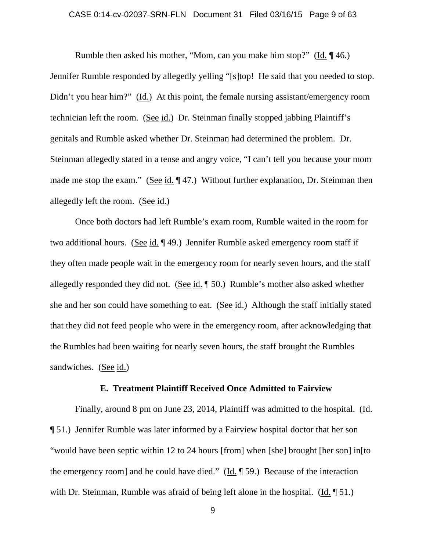### CASE 0:14-cv-02037-SRN-FLN Document 31 Filed 03/16/15 Page 9 of 63

Rumble then asked his mother, "Mom, can you make him stop?" (Id. ¶ 46.) Jennifer Rumble responded by allegedly yelling "[s]top! He said that you needed to stop. Didn't you hear him?" (Id.) At this point, the female nursing assistant/emergency room technician left the room. (See id.) Dr. Steinman finally stopped jabbing Plaintiff's genitals and Rumble asked whether Dr. Steinman had determined the problem. Dr. Steinman allegedly stated in a tense and angry voice, "I can't tell you because your mom made me stop the exam." (See id. ¶ 47.) Without further explanation, Dr. Steinman then allegedly left the room. (See id.)

Once both doctors had left Rumble's exam room, Rumble waited in the room for two additional hours. (See id. ¶ 49.) Jennifer Rumble asked emergency room staff if they often made people wait in the emergency room for nearly seven hours, and the staff allegedly responded they did not. (See id. ¶ 50.) Rumble's mother also asked whether she and her son could have something to eat. (See id.) Although the staff initially stated that they did not feed people who were in the emergency room, after acknowledging that the Rumbles had been waiting for nearly seven hours, the staff brought the Rumbles sandwiches. (See id.)

### **E. Treatment Plaintiff Received Once Admitted to Fairview**

Finally, around 8 pm on June 23, 2014, Plaintiff was admitted to the hospital. (Id. ¶ 51.) Jennifer Rumble was later informed by a Fairview hospital doctor that her son "would have been septic within 12 to 24 hours [from] when [she] brought [her son] in[to the emergency room] and he could have died." (Id. ¶ 59.) Because of the interaction with Dr. Steinman, Rumble was afraid of being left alone in the hospital. ( $\underline{Id}$ ,  $\P$  51.)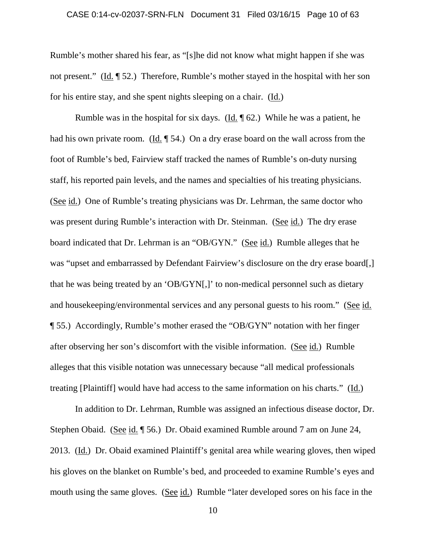### CASE 0:14-cv-02037-SRN-FLN Document 31 Filed 03/16/15 Page 10 of 63

Rumble's mother shared his fear, as "[s]he did not know what might happen if she was not present." (Id. ¶ 52.) Therefore, Rumble's mother stayed in the hospital with her son for his entire stay, and she spent nights sleeping on a chair. (Id.)

Rumble was in the hospital for six days. (Id.  $\parallel$  62.) While he was a patient, he had his own private room. (Id. ¶ 54.) On a dry erase board on the wall across from the foot of Rumble's bed, Fairview staff tracked the names of Rumble's on-duty nursing staff, his reported pain levels, and the names and specialties of his treating physicians. (See id.) One of Rumble's treating physicians was Dr. Lehrman, the same doctor who was present during Rumble's interaction with Dr. Steinman. (See id.) The dry erase board indicated that Dr. Lehrman is an "OB/GYN." (See id.) Rumble alleges that he was "upset and embarrassed by Defendant Fairview's disclosure on the dry erase board[,] that he was being treated by an 'OB/GYN[,]' to non-medical personnel such as dietary and housekeeping/environmental services and any personal guests to his room." (See id. ¶ 55.) Accordingly, Rumble's mother erased the "OB/GYN" notation with her finger after observing her son's discomfort with the visible information. (See id.) Rumble alleges that this visible notation was unnecessary because "all medical professionals treating [Plaintiff] would have had access to the same information on his charts." (Id.)

In addition to Dr. Lehrman, Rumble was assigned an infectious disease doctor, Dr. Stephen Obaid. (See id. ¶ 56.) Dr. Obaid examined Rumble around 7 am on June 24, 2013. (Id.) Dr. Obaid examined Plaintiff's genital area while wearing gloves, then wiped his gloves on the blanket on Rumble's bed, and proceeded to examine Rumble's eyes and mouth using the same gloves. (See id.) Rumble "later developed sores on his face in the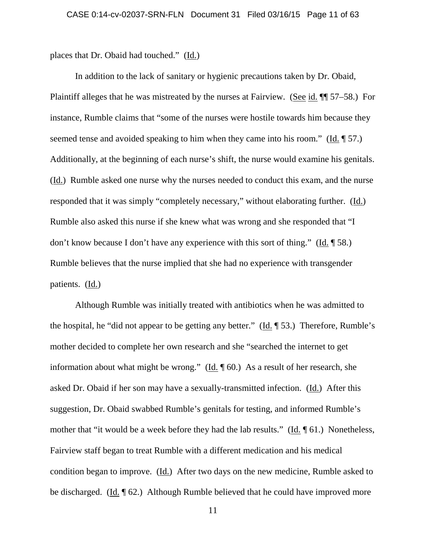places that Dr. Obaid had touched." (Id.)

In addition to the lack of sanitary or hygienic precautions taken by Dr. Obaid, Plaintiff alleges that he was mistreated by the nurses at Fairview. (See id. ¶¶ 57–58.) For instance, Rumble claims that "some of the nurses were hostile towards him because they seemed tense and avoided speaking to him when they came into his room." (Id. ¶ 57.) Additionally, at the beginning of each nurse's shift, the nurse would examine his genitals. (Id.) Rumble asked one nurse why the nurses needed to conduct this exam, and the nurse responded that it was simply "completely necessary," without elaborating further. (Id.) Rumble also asked this nurse if she knew what was wrong and she responded that "I don't know because I don't have any experience with this sort of thing." (Id. ¶ 58.) Rumble believes that the nurse implied that she had no experience with transgender patients. (Id.)

Although Rumble was initially treated with antibiotics when he was admitted to the hospital, he "did not appear to be getting any better." (Id. ¶ 53.) Therefore, Rumble's mother decided to complete her own research and she "searched the internet to get information about what might be wrong." (Id. ¶ 60.) As a result of her research, she asked Dr. Obaid if her son may have a sexually-transmitted infection. (Id.) After this suggestion, Dr. Obaid swabbed Rumble's genitals for testing, and informed Rumble's mother that "it would be a week before they had the lab results." (Id. ¶ 61.) Nonetheless, Fairview staff began to treat Rumble with a different medication and his medical condition began to improve. (Id.) After two days on the new medicine, Rumble asked to be discharged. (Id. ¶ 62.) Although Rumble believed that he could have improved more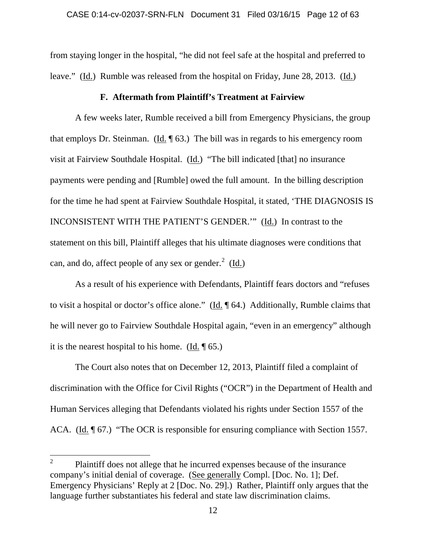from staying longer in the hospital, "he did not feel safe at the hospital and preferred to leave." (Id.) Rumble was released from the hospital on Friday, June 28, 2013. (Id.)

## **F. Aftermath from Plaintiff's Treatment at Fairview**

A few weeks later, Rumble received a bill from Emergency Physicians, the group that employs Dr. Steinman. (Id. ¶ 63.) The bill was in regards to his emergency room visit at Fairview Southdale Hospital. (Id.) "The bill indicated [that] no insurance payments were pending and [Rumble] owed the full amount. In the billing description for the time he had spent at Fairview Southdale Hospital, it stated, 'THE DIAGNOSIS IS INCONSISTENT WITH THE PATIENT'S GENDER.'" (Id.) In contrast to the statement on this bill, Plaintiff alleges that his ultimate diagnoses were conditions that can, and do, affect people of any sex or gender.<sup>2</sup> (Id.)

As a result of his experience with Defendants, Plaintiff fears doctors and "refuses to visit a hospital or doctor's office alone." (Id. ¶ 64.) Additionally, Rumble claims that he will never go to Fairview Southdale Hospital again, "even in an emergency" although it is the nearest hospital to his home. (Id.  $\P$  65.)

The Court also notes that on December 12, 2013, Plaintiff filed a complaint of discrimination with the Office for Civil Rights ("OCR") in the Department of Health and Human Services alleging that Defendants violated his rights under Section 1557 of the ACA. (Id. ¶ 67.) "The OCR is responsible for ensuring compliance with Section 1557.

 $2^2$  Plaintiff does not allege that he incurred expenses because of the insurance company's initial denial of coverage. (See generally Compl. [Doc. No. 1]; Def. Emergency Physicians' Reply at 2 [Doc. No. 29].) Rather, Plaintiff only argues that the language further substantiates his federal and state law discrimination claims.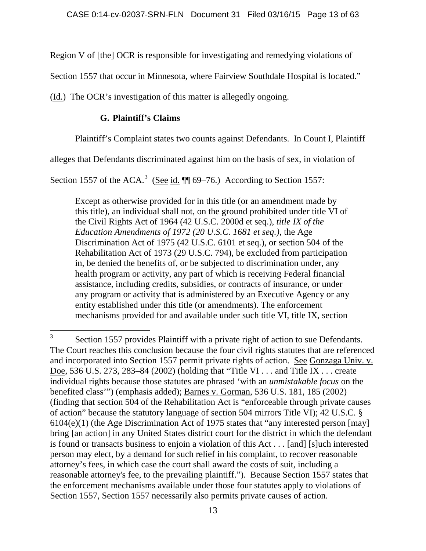Region V of [the] OCR is responsible for investigating and remedying violations of

Section 1557 that occur in Minnesota, where Fairview Southdale Hospital is located."

(Id.) The OCR's investigation of this matter is allegedly ongoing.

# **G. Plaintiff's Claims**

Plaintiff's Complaint states two counts against Defendants. In Count I, Plaintiff

alleges that Defendants discriminated against him on the basis of sex, in violation of

Section 1557 of the ACA.<sup>3</sup> (See id.  $\P$  69–76.) According to Section 1557:

Except as otherwise provided for in this title (or an amendment made by this title), an individual shall not, on the ground prohibited under title VI of the Civil Rights Act of 1964 (42 U.S.C. 2000d et seq.), *title IX of the Education Amendments of 1972 (20 U.S.C. 1681 et seq.)*, the Age Discrimination Act of 1975 (42 U.S.C. 6101 et seq.), or section 504 of the Rehabilitation Act of 1973 (29 U.S.C. 794), be excluded from participation in, be denied the benefits of, or be subjected to discrimination under, any health program or activity, any part of which is receiving Federal financial assistance, including credits, subsidies, or contracts of insurance, or under any program or activity that is administered by an Executive Agency or any entity established under this title (or amendments). The enforcement mechanisms provided for and available under such title VI, title IX, section

<sup>&</sup>lt;sup>3</sup> Section 1557 provides Plaintiff with a private right of action to sue Defendants. The Court reaches this conclusion because the four civil rights statutes that are referenced and incorporated into Section 1557 permit private rights of action. See Gonzaga Univ. v. Doe, 536 U.S. 273, 283–84 (2002) (holding that "Title VI . . . and Title IX . . . create individual rights because those statutes are phrased 'with an *unmistakable focus* on the benefited class'") (emphasis added); Barnes v. Gorman, 536 U.S. 181, 185 (2002) (finding that section 504 of the Rehabilitation Act is "enforceable through private causes of action" because the statutory language of section 504 mirrors Title VI); 42 U.S.C. § 6104(e)(1) (the Age Discrimination Act of 1975 states that "any interested person [may] bring [an action] in any United States district court for the district in which the defendant is found or transacts business to enjoin a violation of this Act . . . [and] [s]uch interested person may elect, by a demand for such relief in his complaint, to recover reasonable attorney's fees, in which case the court shall award the costs of suit, including a reasonable attorney's fee, to the prevailing plaintiff."). Because Section 1557 states that the enforcement mechanisms available under those four statutes apply to violations of Section 1557, Section 1557 necessarily also permits private causes of action.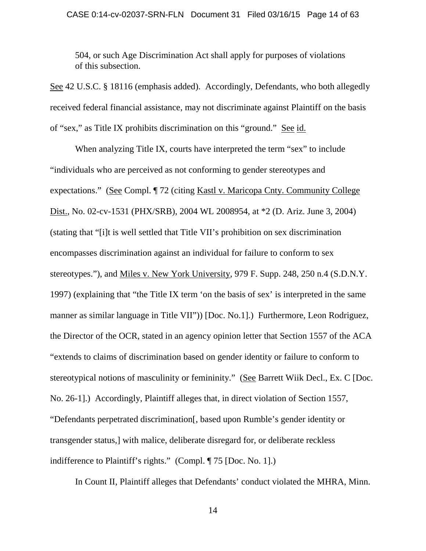# CASE 0:14-cv-02037-SRN-FLN Document 31 Filed 03/16/15 Page 14 of 63

504, or such Age Discrimination Act shall apply for purposes of violations of this subsection.

See 42 U.S.C. § 18116 (emphasis added). Accordingly, Defendants, who both allegedly received federal financial assistance, may not discriminate against Plaintiff on the basis of "sex," as Title IX prohibits discrimination on this "ground." See id.

When analyzing Title IX, courts have interpreted the term "sex" to include "individuals who are perceived as not conforming to gender stereotypes and expectations." (See Compl. ¶ 72 (citing Kastl v. Maricopa Cnty. Community College Dist., No. 02-cv-1531 (PHX/SRB), 2004 WL 2008954, at \*2 (D. Ariz. June 3, 2004) (stating that "[i]t is well settled that Title VII's prohibition on sex discrimination encompasses discrimination against an individual for failure to conform to sex stereotypes."), and Miles v. New York University, 979 F. Supp. 248, 250 n.4 (S.D.N.Y. 1997) (explaining that "the Title IX term 'on the basis of sex' is interpreted in the same manner as similar language in Title VII")) [Doc. No.1].) Furthermore, Leon Rodriguez, the Director of the OCR, stated in an agency opinion letter that Section 1557 of the ACA "extends to claims of discrimination based on gender identity or failure to conform to stereotypical notions of masculinity or femininity." (See Barrett Wiik Decl., Ex. C [Doc. No. 26-1].) Accordingly, Plaintiff alleges that, in direct violation of Section 1557, "Defendants perpetrated discrimination[, based upon Rumble's gender identity or transgender status,] with malice, deliberate disregard for, or deliberate reckless indifference to Plaintiff's rights." (Compl. ¶ 75 [Doc. No. 1].)

In Count II, Plaintiff alleges that Defendants' conduct violated the MHRA, Minn.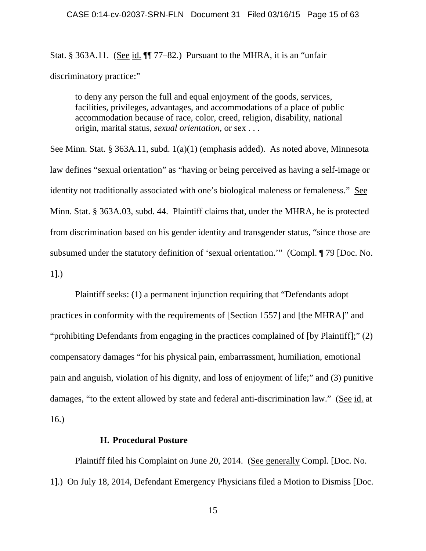Stat. § 363A.11. (See id.  $\P$  77–82.) Pursuant to the MHRA, it is an "unfair discriminatory practice:"

to deny any person the full and equal enjoyment of the goods, services, facilities, privileges, advantages, and accommodations of a place of public accommodation because of race, color, creed, religion, disability, national origin, marital status, *sexual orientation*, or sex . . .

See Minn. Stat. § 363A.11, subd. 1(a)(1) (emphasis added). As noted above, Minnesota law defines "sexual orientation" as "having or being perceived as having a self-image or identity not traditionally associated with one's biological maleness or femaleness." See Minn. Stat. § 363A.03, subd. 44. Plaintiff claims that, under the MHRA, he is protected from discrimination based on his gender identity and transgender status, "since those are subsumed under the statutory definition of 'sexual orientation.'" (Compl. ¶ 79 [Doc. No. 1].)

Plaintiff seeks: (1) a permanent injunction requiring that "Defendants adopt practices in conformity with the requirements of [Section 1557] and [the MHRA]" and "prohibiting Defendants from engaging in the practices complained of [by Plaintiff];" (2) compensatory damages "for his physical pain, embarrassment, humiliation, emotional pain and anguish, violation of his dignity, and loss of enjoyment of life;" and (3) punitive damages, "to the extent allowed by state and federal anti-discrimination law." (See id. at 16.)

# **H. Procedural Posture**

Plaintiff filed his Complaint on June 20, 2014. (See generally Compl. [Doc. No. 1].) On July 18, 2014, Defendant Emergency Physicians filed a Motion to Dismiss [Doc.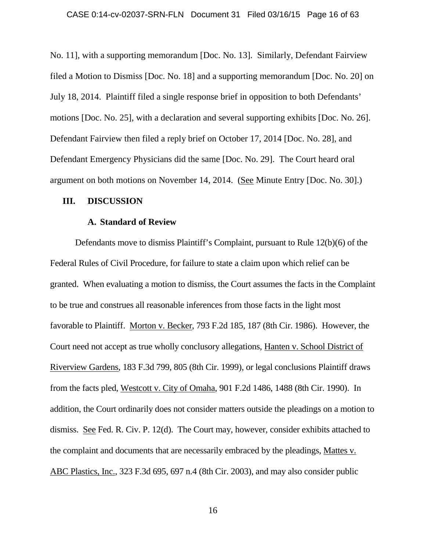### CASE 0:14-cv-02037-SRN-FLN Document 31 Filed 03/16/15 Page 16 of 63

No. 11], with a supporting memorandum [Doc. No. 13]. Similarly, Defendant Fairview filed a Motion to Dismiss [Doc. No. 18] and a supporting memorandum [Doc. No. 20] on July 18, 2014. Plaintiff filed a single response brief in opposition to both Defendants' motions [Doc. No. 25], with a declaration and several supporting exhibits [Doc. No. 26]. Defendant Fairview then filed a reply brief on October 17, 2014 [Doc. No. 28], and Defendant Emergency Physicians did the same [Doc. No. 29]. The Court heard oral argument on both motions on November 14, 2014. (See Minute Entry [Doc. No. 30].)

### **III. DISCUSSION**

### **A. Standard of Review**

Defendants move to dismiss Plaintiff's Complaint, pursuant to Rule 12(b)(6) of the Federal Rules of Civil Procedure, for failure to state a claim upon which relief can be granted. When evaluating a motion to dismiss, the Court assumes the facts in the Complaint to be true and construes all reasonable inferences from those facts in the light most favorable to Plaintiff. Morton v. Becker, 793 F.2d 185, 187 (8th Cir. 1986). However, the Court need not accept as true wholly conclusory allegations, Hanten v. School District of Riverview Gardens, 183 F.3d 799, 805 (8th Cir. 1999), or legal conclusions Plaintiff draws from the facts pled, Westcott v. City of Omaha, 901 F.2d 1486, 1488 (8th Cir. 1990). In addition, the Court ordinarily does not consider matters outside the pleadings on a motion to dismiss. See Fed. R. Civ. P. 12(d). The Court may, however, consider exhibits attached to the complaint and documents that are necessarily embraced by the pleadings, Mattes v. ABC Plastics, Inc., 323 F.3d 695, 697 n.4 (8th Cir. 2003), and may also consider public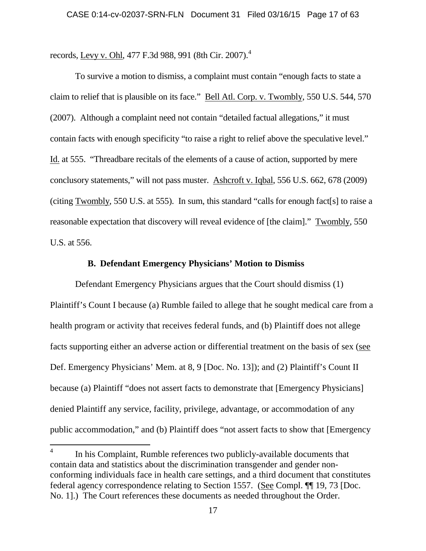records, Levy v. Ohl, 477 F.3d 988, 991 (8th Cir. 2007).<sup>4</sup>

To survive a motion to dismiss, a complaint must contain "enough facts to state a claim to relief that is plausible on its face." Bell Atl. Corp. v. Twombly, 550 U.S. 544, 570 (2007). Although a complaint need not contain "detailed factual allegations," it must contain facts with enough specificity "to raise a right to relief above the speculative level." Id. at 555. "Threadbare recitals of the elements of a cause of action, supported by mere conclusory statements," will not pass muster. Ashcroft v. Iqbal, 556 U.S. 662, 678 (2009) (citing Twombly, 550 U.S. at 555). In sum, this standard "calls for enough fact[s] to raise a reasonable expectation that discovery will reveal evidence of [the claim]." Twombly, 550 U.S. at 556.

### **B. Defendant Emergency Physicians' Motion to Dismiss**

Defendant Emergency Physicians argues that the Court should dismiss (1) Plaintiff's Count I because (a) Rumble failed to allege that he sought medical care from a health program or activity that receives federal funds, and (b) Plaintiff does not allege facts supporting either an adverse action or differential treatment on the basis of sex (see Def. Emergency Physicians' Mem. at 8, 9 [Doc. No. 13]); and (2) Plaintiff's Count II because (a) Plaintiff "does not assert facts to demonstrate that [Emergency Physicians] denied Plaintiff any service, facility, privilege, advantage, or accommodation of any public accommodation," and (b) Plaintiff does "not assert facts to show that [Emergency

<sup>&</sup>lt;sup>4</sup> In his Complaint, Rumble references two publicly-available documents that contain data and statistics about the discrimination transgender and gender nonconforming individuals face in health care settings, and a third document that constitutes federal agency correspondence relating to Section 1557. (See Compl. ¶¶ 19, 73 [Doc. No. 1].) The Court references these documents as needed throughout the Order.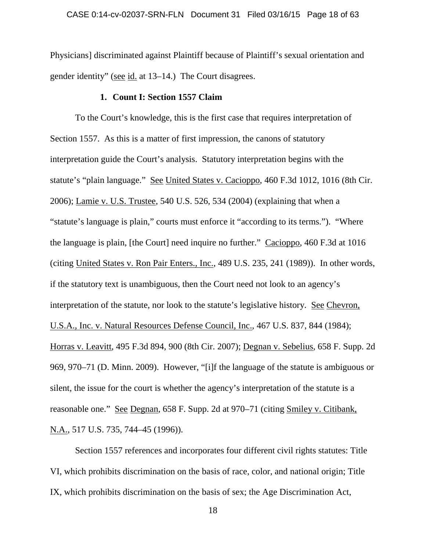Physicians] discriminated against Plaintiff because of Plaintiff's sexual orientation and gender identity" (see id. at 13–14.) The Court disagrees.

## **1. Count I: Section 1557 Claim**

To the Court's knowledge, this is the first case that requires interpretation of Section 1557. As this is a matter of first impression, the canons of statutory interpretation guide the Court's analysis. Statutory interpretation begins with the statute's "plain language." See United States v. Cacioppo, 460 F.3d 1012, 1016 (8th Cir. 2006); Lamie v. U.S. Trustee, 540 U.S. 526, 534 (2004) (explaining that when a "statute's language is plain," courts must enforce it "according to its terms."). "Where the language is plain, [the Court] need inquire no further." Cacioppo, 460 F.3d at 1016 (citing United States v. Ron Pair Enters., Inc., 489 U.S. 235, 241 (1989)). In other words, if the statutory text is unambiguous, then the Court need not look to an agency's interpretation of the statute, nor look to the statute's legislative history. See Chevron, U.S.A., Inc. v. Natural Resources Defense Council, Inc., 467 U.S. 837, 844 (1984); Horras v. Leavitt, 495 F.3d 894, 900 (8th Cir. 2007); Degnan v. Sebelius, 658 F. Supp. 2d 969, 970–71 (D. Minn. 2009). However, "[i]f the language of the statute is ambiguous or silent, the issue for the court is whether the agency's interpretation of the statute is a reasonable one." See Degnan, 658 F. Supp. 2d at 970–71 (citing Smiley v. Citibank, N.A., 517 U.S. 735, 744–45 (1996)).

Section 1557 references and incorporates four different civil rights statutes: Title VI, which prohibits discrimination on the basis of race, color, and national origin; Title IX, which prohibits discrimination on the basis of sex; the Age Discrimination Act,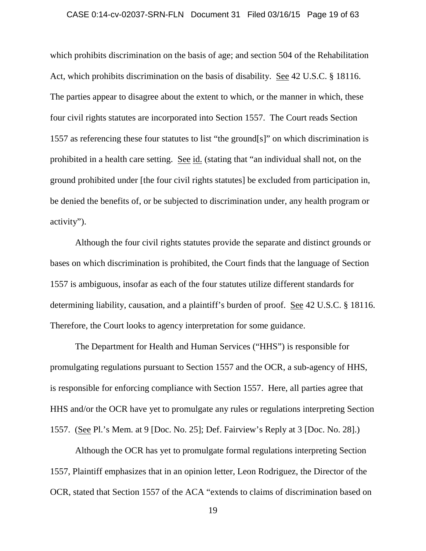### CASE 0:14-cv-02037-SRN-FLN Document 31 Filed 03/16/15 Page 19 of 63

which prohibits discrimination on the basis of age; and section 504 of the Rehabilitation Act, which prohibits discrimination on the basis of disability. See 42 U.S.C. § 18116. The parties appear to disagree about the extent to which, or the manner in which, these four civil rights statutes are incorporated into Section 1557. The Court reads Section 1557 as referencing these four statutes to list "the ground[s]" on which discrimination is prohibited in a health care setting. See id. (stating that "an individual shall not, on the ground prohibited under [the four civil rights statutes] be excluded from participation in, be denied the benefits of, or be subjected to discrimination under, any health program or activity").

Although the four civil rights statutes provide the separate and distinct grounds or bases on which discrimination is prohibited, the Court finds that the language of Section 1557 is ambiguous, insofar as each of the four statutes utilize different standards for determining liability, causation, and a plaintiff's burden of proof. See 42 U.S.C. § 18116. Therefore, the Court looks to agency interpretation for some guidance.

The Department for Health and Human Services ("HHS") is responsible for promulgating regulations pursuant to Section 1557 and the OCR, a sub-agency of HHS, is responsible for enforcing compliance with Section 1557. Here, all parties agree that HHS and/or the OCR have yet to promulgate any rules or regulations interpreting Section 1557. (See Pl.'s Mem. at 9 [Doc. No. 25]; Def. Fairview's Reply at 3 [Doc. No. 28].)

Although the OCR has yet to promulgate formal regulations interpreting Section 1557, Plaintiff emphasizes that in an opinion letter, Leon Rodriguez, the Director of the OCR, stated that Section 1557 of the ACA "extends to claims of discrimination based on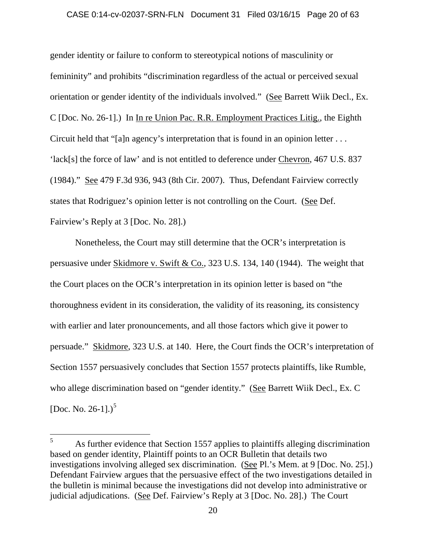### CASE 0:14-cv-02037-SRN-FLN Document 31 Filed 03/16/15 Page 20 of 63

gender identity or failure to conform to stereotypical notions of masculinity or femininity" and prohibits "discrimination regardless of the actual or perceived sexual orientation or gender identity of the individuals involved." (See Barrett Wiik Decl., Ex. C [Doc. No. 26-1].) In In re Union Pac. R.R. Employment Practices Litig., the Eighth Circuit held that "[a]n agency's interpretation that is found in an opinion letter . . . 'lack[s] the force of law' and is not entitled to deference under Chevron, 467 U.S. 837 (1984)." See 479 F.3d 936, 943 (8th Cir. 2007). Thus, Defendant Fairview correctly states that Rodriguez's opinion letter is not controlling on the Court. (See Def. Fairview's Reply at 3 [Doc. No. 28].)

Nonetheless, the Court may still determine that the OCR's interpretation is persuasive under Skidmore v. Swift & Co., 323 U.S. 134, 140 (1944). The weight that the Court places on the OCR's interpretation in its opinion letter is based on "the thoroughness evident in its consideration, the validity of its reasoning, its consistency with earlier and later pronouncements, and all those factors which give it power to persuade." Skidmore, 323 U.S. at 140. Here, the Court finds the OCR's interpretation of Section 1557 persuasively concludes that Section 1557 protects plaintiffs, like Rumble, who allege discrimination based on "gender identity." (See Barrett Wiik Decl., Ex. C [Doc. No. 26-1].)<sup>5</sup>

<sup>&</sup>lt;sup>5</sup> As further evidence that Section 1557 applies to plaintiffs alleging discrimination based on gender identity, Plaintiff points to an OCR Bulletin that details two investigations involving alleged sex discrimination. (See Pl.'s Mem. at 9 [Doc. No. 25].) Defendant Fairview argues that the persuasive effect of the two investigations detailed in the bulletin is minimal because the investigations did not develop into administrative or judicial adjudications. (See Def. Fairview's Reply at 3 [Doc. No. 28].) The Court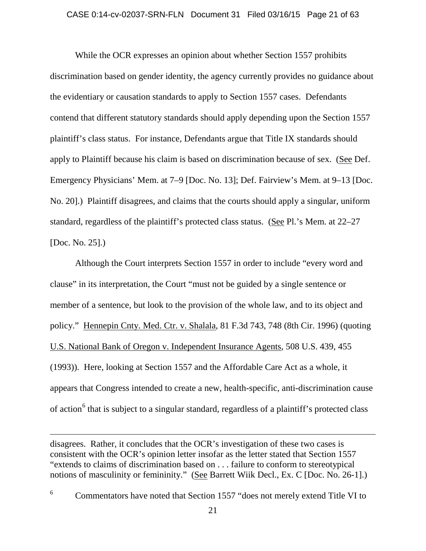### CASE 0:14-cv-02037-SRN-FLN Document 31 Filed 03/16/15 Page 21 of 63

While the OCR expresses an opinion about whether Section 1557 prohibits discrimination based on gender identity, the agency currently provides no guidance about the evidentiary or causation standards to apply to Section 1557 cases. Defendants contend that different statutory standards should apply depending upon the Section 1557 plaintiff's class status. For instance, Defendants argue that Title IX standards should apply to Plaintiff because his claim is based on discrimination because of sex. (See Def. Emergency Physicians' Mem. at 7–9 [Doc. No. 13]; Def. Fairview's Mem. at 9–13 [Doc. No. 20].) Plaintiff disagrees, and claims that the courts should apply a singular, uniform standard, regardless of the plaintiff's protected class status. (See Pl.'s Mem. at 22–27 [Doc. No. 25].)

Although the Court interprets Section 1557 in order to include "every word and clause" in its interpretation, the Court "must not be guided by a single sentence or member of a sentence, but look to the provision of the whole law, and to its object and policy." Hennepin Cnty. Med. Ctr. v. Shalala, 81 F.3d 743, 748 (8th Cir. 1996) (quoting U.S. National Bank of Oregon v. Independent Insurance Agents, 508 U.S. 439, 455 (1993)). Here, looking at Section 1557 and the Affordable Care Act as a whole, it appears that Congress intended to create a new, health-specific, anti-discrimination cause of action<sup>6</sup> that is subject to a singular standard, regardless of a plaintiff's protected class

disagrees. Rather, it concludes that the OCR's investigation of these two cases is consistent with the OCR's opinion letter insofar as the letter stated that Section 1557 "extends to claims of discrimination based on . . . failure to conform to stereotypical notions of masculinity or femininity." (See Barrett Wiik Decl., Ex. C [Doc. No. 26-1].)

 $\overline{a}$ 

<sup>6</sup> Commentators have noted that Section 1557 "does not merely extend Title VI to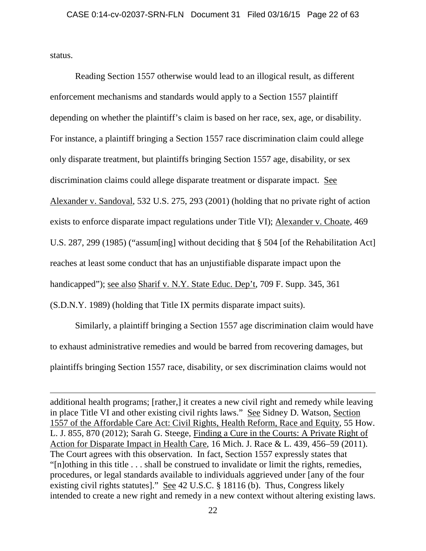status.

 $\overline{a}$ 

Reading Section 1557 otherwise would lead to an illogical result, as different enforcement mechanisms and standards would apply to a Section 1557 plaintiff depending on whether the plaintiff's claim is based on her race, sex, age, or disability. For instance, a plaintiff bringing a Section 1557 race discrimination claim could allege only disparate treatment, but plaintiffs bringing Section 1557 age, disability, or sex discrimination claims could allege disparate treatment or disparate impact. See Alexander v. Sandoval, 532 U.S. 275, 293 (2001) (holding that no private right of action exists to enforce disparate impact regulations under Title VI); Alexander v. Choate, 469 U.S. 287, 299 (1985) ("assum[ing] without deciding that § 504 [of the Rehabilitation Act] reaches at least some conduct that has an unjustifiable disparate impact upon the handicapped"); see also Sharif v. N.Y. State Educ. Dep't, 709 F. Supp. 345, 361 (S.D.N.Y. 1989) (holding that Title IX permits disparate impact suits).

Similarly, a plaintiff bringing a Section 1557 age discrimination claim would have to exhaust administrative remedies and would be barred from recovering damages, but plaintiffs bringing Section 1557 race, disability, or sex discrimination claims would not

additional health programs; [rather,] it creates a new civil right and remedy while leaving in place Title VI and other existing civil rights laws." See Sidney D. Watson, Section 1557 of the Affordable Care Act: Civil Rights, Health Reform, Race and Equity, 55 How. L. J. 855, 870 (2012); Sarah G. Steege, Finding a Cure in the Courts: A Private Right of Action for Disparate Impact in Health Care, 16 Mich. J. Race & L. 439, 456–59 (2011). The Court agrees with this observation. In fact, Section 1557 expressly states that "[n]othing in this title . . . shall be construed to invalidate or limit the rights, remedies, procedures, or legal standards available to individuals aggrieved under [any of the four existing civil rights statutes]." See 42 U.S.C. § 18116 (b). Thus, Congress likely intended to create a new right and remedy in a new context without altering existing laws.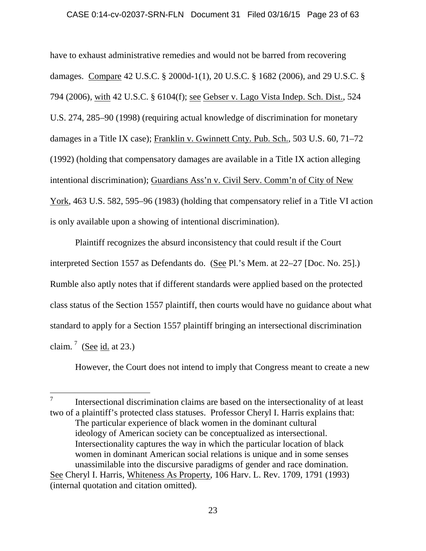### CASE 0:14-cv-02037-SRN-FLN Document 31 Filed 03/16/15 Page 23 of 63

have to exhaust administrative remedies and would not be barred from recovering damages. Compare 42 U.S.C. § 2000d-1(1), 20 U.S.C. § 1682 (2006), and 29 U.S.C. § 794 (2006), with 42 U.S.C. § 6104(f); see Gebser v. Lago Vista Indep. Sch. Dist., 524 U.S. 274, 285–90 (1998) (requiring actual knowledge of discrimination for monetary damages in a Title IX case); Franklin v. Gwinnett Cnty. Pub. Sch., 503 U.S. 60, 71–72 (1992) (holding that compensatory damages are available in a Title IX action alleging intentional discrimination); Guardians Ass'n v. Civil Serv. Comm'n of City of New York, 463 U.S. 582, 595–96 (1983) (holding that compensatory relief in a Title VI action is only available upon a showing of intentional discrimination).

Plaintiff recognizes the absurd inconsistency that could result if the Court interpreted Section 1557 as Defendants do. (See Pl.'s Mem. at 22–27 [Doc. No. 25].) Rumble also aptly notes that if different standards were applied based on the protected class status of the Section 1557 plaintiff, then courts would have no guidance about what standard to apply for a Section 1557 plaintiff bringing an intersectional discrimination claim.<sup>7</sup> (See id. at 23.)

However, the Court does not intend to imply that Congress meant to create a new

<sup>&</sup>lt;sup>7</sup> Intersectional discrimination claims are based on the intersectionality of at least two of a plaintiff's protected class statuses. Professor Cheryl I. Harris explains that: The particular experience of black women in the dominant cultural ideology of American society can be conceptualized as intersectional. Intersectionality captures the way in which the particular location of black women in dominant American social relations is unique and in some senses unassimilable into the discursive paradigms of gender and race domination. See Cheryl I. Harris, Whiteness As Property, 106 Harv. L. Rev. 1709, 1791 (1993) (internal quotation and citation omitted).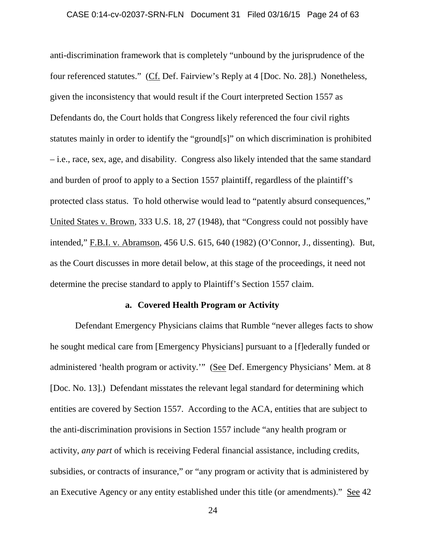### CASE 0:14-cv-02037-SRN-FLN Document 31 Filed 03/16/15 Page 24 of 63

anti-discrimination framework that is completely "unbound by the jurisprudence of the four referenced statutes." (Cf. Def. Fairview's Reply at 4 [Doc. No. 28].) Nonetheless, given the inconsistency that would result if the Court interpreted Section 1557 as Defendants do, the Court holds that Congress likely referenced the four civil rights statutes mainly in order to identify the "ground[s]" on which discrimination is prohibited – i.e., race, sex, age, and disability. Congress also likely intended that the same standard and burden of proof to apply to a Section 1557 plaintiff, regardless of the plaintiff's protected class status. To hold otherwise would lead to "patently absurd consequences," United States v. Brown, 333 U.S. 18, 27 (1948), that "Congress could not possibly have intended," F.B.I. v. Abramson, 456 U.S. 615, 640 (1982) (O'Connor, J., dissenting). But, as the Court discusses in more detail below, at this stage of the proceedings, it need not determine the precise standard to apply to Plaintiff's Section 1557 claim.

### **a. Covered Health Program or Activity**

Defendant Emergency Physicians claims that Rumble "never alleges facts to show he sought medical care from [Emergency Physicians] pursuant to a [f]ederally funded or administered 'health program or activity.'" (See Def. Emergency Physicians' Mem. at 8 [Doc. No. 13].) Defendant misstates the relevant legal standard for determining which entities are covered by Section 1557. According to the ACA, entities that are subject to the anti-discrimination provisions in Section 1557 include "any health program or activity, *any part* of which is receiving Federal financial assistance, including credits, subsidies, or contracts of insurance," or "any program or activity that is administered by an Executive Agency or any entity established under this title (or amendments)." See 42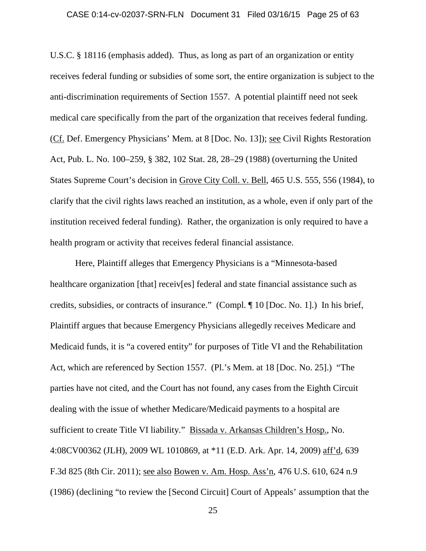### CASE 0:14-cv-02037-SRN-FLN Document 31 Filed 03/16/15 Page 25 of 63

U.S.C. § 18116 (emphasis added). Thus, as long as part of an organization or entity receives federal funding or subsidies of some sort, the entire organization is subject to the anti-discrimination requirements of Section 1557. A potential plaintiff need not seek medical care specifically from the part of the organization that receives federal funding. (Cf. Def. Emergency Physicians' Mem. at 8 [Doc. No. 13]); see Civil Rights Restoration Act, Pub. L. No. 100–259, § 382, 102 Stat. 28, 28–29 (1988) (overturning the United States Supreme Court's decision in Grove City Coll. v. Bell, 465 U.S. 555, 556 (1984), to clarify that the civil rights laws reached an institution, as a whole, even if only part of the institution received federal funding). Rather, the organization is only required to have a health program or activity that receives federal financial assistance.

Here, Plaintiff alleges that Emergency Physicians is a "Minnesota-based healthcare organization [that] receiv[es] federal and state financial assistance such as credits, subsidies, or contracts of insurance." (Compl. ¶ 10 [Doc. No. 1].) In his brief, Plaintiff argues that because Emergency Physicians allegedly receives Medicare and Medicaid funds, it is "a covered entity" for purposes of Title VI and the Rehabilitation Act, which are referenced by Section 1557. (Pl.'s Mem. at 18 [Doc. No. 25].) "The parties have not cited, and the Court has not found, any cases from the Eighth Circuit dealing with the issue of whether Medicare/Medicaid payments to a hospital are sufficient to create Title VI liability." Bissada v. Arkansas Children's Hosp., No. 4:08CV00362 (JLH), 2009 WL 1010869, at \*11 (E.D. Ark. Apr. 14, 2009) aff'd, 639 F.3d 825 (8th Cir. 2011); see also Bowen v. Am. Hosp. Ass'n, 476 U.S. 610, 624 n.9 (1986) (declining "to review the [Second Circuit] Court of Appeals' assumption that the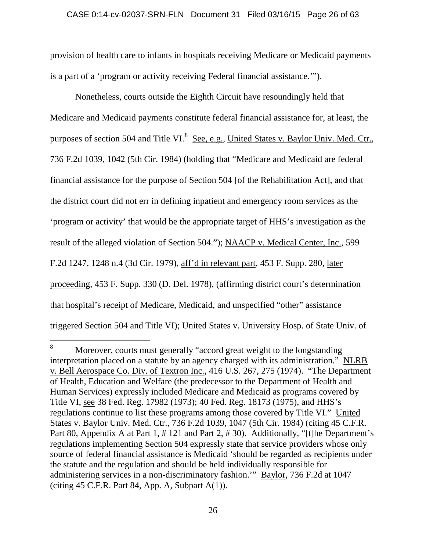### CASE 0:14-cv-02037-SRN-FLN Document 31 Filed 03/16/15 Page 26 of 63

provision of health care to infants in hospitals receiving Medicare or Medicaid payments is a part of a 'program or activity receiving Federal financial assistance.'").

Nonetheless, courts outside the Eighth Circuit have resoundingly held that Medicare and Medicaid payments constitute federal financial assistance for, at least, the purposes of section 504 and Title VI.<sup>8</sup> See, e.g., United States v. Baylor Univ. Med. Ctr., 736 F.2d 1039, 1042 (5th Cir. 1984) (holding that "Medicare and Medicaid are federal financial assistance for the purpose of Section 504 [of the Rehabilitation Act], and that the district court did not err in defining inpatient and emergency room services as the 'program or activity' that would be the appropriate target of HHS's investigation as the result of the alleged violation of Section 504."); NAACP v. Medical Center, Inc., 599 F.2d 1247, 1248 n.4 (3d Cir. 1979), aff'd in relevant part, 453 F. Supp. 280, later proceeding, 453 F. Supp. 330 (D. Del. 1978), (affirming district court's determination that hospital's receipt of Medicare, Medicaid, and unspecified "other" assistance triggered Section 504 and Title VI); United States v. University Hosp. of State Univ. of

 <sup>8</sup> Moreover, courts must generally "accord great weight to the longstanding interpretation placed on a statute by an agency charged with its administration." NLRB v. Bell Aerospace Co. Div. of Textron Inc., 416 U.S. 267, 275 (1974). "The Department of Health, Education and Welfare (the predecessor to the Department of Health and Human Services) expressly included Medicare and Medicaid as programs covered by Title VI, see 38 Fed. Reg. 17982 (1973); 40 Fed. Reg. 18173 (1975), and HHS's regulations continue to list these programs among those covered by Title VI." United States v. Baylor Univ. Med. Ctr., 736 F.2d 1039, 1047 (5th Cir. 1984) (citing 45 C.F.R. Part 80, Appendix A at Part 1, # 121 and Part 2, # 30). Additionally, "[t]he Department's regulations implementing Section 504 expressly state that service providers whose only source of federal financial assistance is Medicaid 'should be regarded as recipients under the statute and the regulation and should be held individually responsible for administering services in a non-discriminatory fashion.'" Baylor, 736 F.2d at 1047 (citing  $45$  C.F.R. Part 84, App. A, Subpart  $A(1)$ ).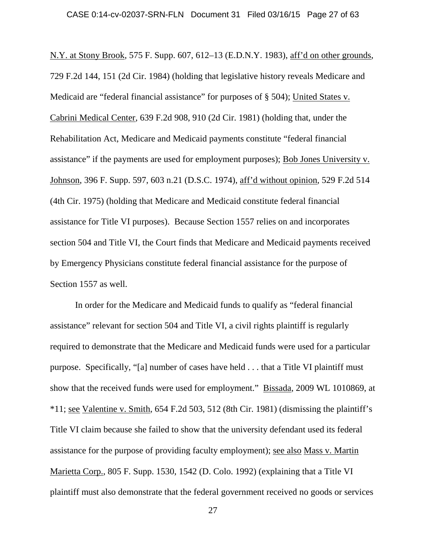N.Y. at Stony Brook, 575 F. Supp. 607, 612–13 (E.D.N.Y. 1983), aff'd on other grounds, 729 F.2d 144, 151 (2d Cir. 1984) (holding that legislative history reveals Medicare and Medicaid are "federal financial assistance" for purposes of § 504); United States v. Cabrini Medical Center, 639 F.2d 908, 910 (2d Cir. 1981) (holding that, under the Rehabilitation Act, Medicare and Medicaid payments constitute "federal financial assistance" if the payments are used for employment purposes); Bob Jones University v. Johnson, 396 F. Supp. 597, 603 n.21 (D.S.C. 1974), aff'd without opinion, 529 F.2d 514 (4th Cir. 1975) (holding that Medicare and Medicaid constitute federal financial assistance for Title VI purposes). Because Section 1557 relies on and incorporates section 504 and Title VI, the Court finds that Medicare and Medicaid payments received by Emergency Physicians constitute federal financial assistance for the purpose of Section 1557 as well.

In order for the Medicare and Medicaid funds to qualify as "federal financial assistance" relevant for section 504 and Title VI, a civil rights plaintiff is regularly required to demonstrate that the Medicare and Medicaid funds were used for a particular purpose. Specifically, "[a] number of cases have held . . . that a Title VI plaintiff must show that the received funds were used for employment." Bissada, 2009 WL 1010869, at \*11; see Valentine v. Smith, 654 F.2d 503, 512 (8th Cir. 1981) (dismissing the plaintiff's Title VI claim because she failed to show that the university defendant used its federal assistance for the purpose of providing faculty employment); see also Mass v. Martin Marietta Corp., 805 F. Supp. 1530, 1542 (D. Colo. 1992) (explaining that a Title VI plaintiff must also demonstrate that the federal government received no goods or services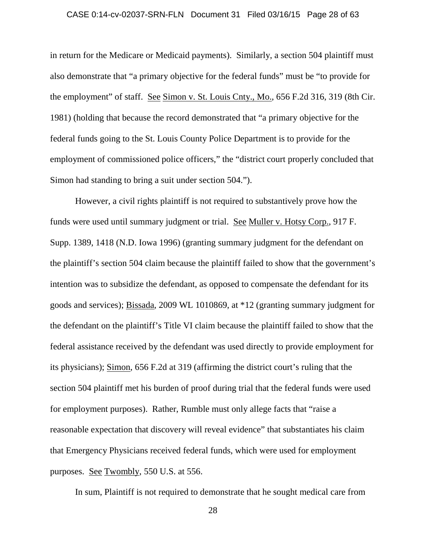### CASE 0:14-cv-02037-SRN-FLN Document 31 Filed 03/16/15 Page 28 of 63

in return for the Medicare or Medicaid payments). Similarly, a section 504 plaintiff must also demonstrate that "a primary objective for the federal funds" must be "to provide for the employment" of staff. See Simon v. St. Louis Cnty., Mo., 656 F.2d 316, 319 (8th Cir. 1981) (holding that because the record demonstrated that "a primary objective for the federal funds going to the St. Louis County Police Department is to provide for the employment of commissioned police officers," the "district court properly concluded that Simon had standing to bring a suit under section 504.").

However, a civil rights plaintiff is not required to substantively prove how the funds were used until summary judgment or trial. See Muller v. Hotsy Corp., 917 F. Supp. 1389, 1418 (N.D. Iowa 1996) (granting summary judgment for the defendant on the plaintiff's section 504 claim because the plaintiff failed to show that the government's intention was to subsidize the defendant, as opposed to compensate the defendant for its goods and services); Bissada, 2009 WL 1010869, at \*12 (granting summary judgment for the defendant on the plaintiff's Title VI claim because the plaintiff failed to show that the federal assistance received by the defendant was used directly to provide employment for its physicians); Simon, 656 F.2d at 319 (affirming the district court's ruling that the section 504 plaintiff met his burden of proof during trial that the federal funds were used for employment purposes). Rather, Rumble must only allege facts that "raise a reasonable expectation that discovery will reveal evidence" that substantiates his claim that Emergency Physicians received federal funds, which were used for employment purposes. See Twombly, 550 U.S. at 556.

In sum, Plaintiff is not required to demonstrate that he sought medical care from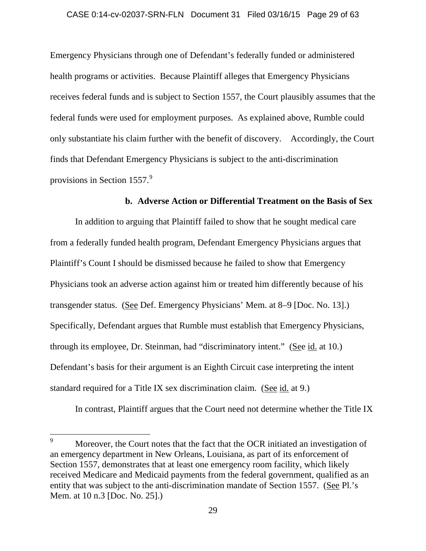#### CASE 0:14-cv-02037-SRN-FLN Document 31 Filed 03/16/15 Page 29 of 63

Emergency Physicians through one of Defendant's federally funded or administered health programs or activities. Because Plaintiff alleges that Emergency Physicians receives federal funds and is subject to Section 1557, the Court plausibly assumes that the federal funds were used for employment purposes. As explained above, Rumble could only substantiate his claim further with the benefit of discovery. Accordingly, the Court finds that Defendant Emergency Physicians is subject to the anti-discrimination provisions in Section 1557.<sup>9</sup>

### **b. Adverse Action or Differential Treatment on the Basis of Sex**

In addition to arguing that Plaintiff failed to show that he sought medical care from a federally funded health program, Defendant Emergency Physicians argues that Plaintiff's Count I should be dismissed because he failed to show that Emergency Physicians took an adverse action against him or treated him differently because of his transgender status. (See Def. Emergency Physicians' Mem. at 8–9 [Doc. No. 13].) Specifically, Defendant argues that Rumble must establish that Emergency Physicians, through its employee, Dr. Steinman, had "discriminatory intent." (See id. at 10.) Defendant's basis for their argument is an Eighth Circuit case interpreting the intent standard required for a Title IX sex discrimination claim. (See id. at 9.)

In contrast, Plaintiff argues that the Court need not determine whether the Title IX

<sup>&</sup>lt;sup>9</sup> Moreover, the Court notes that the fact that the OCR initiated an investigation of an emergency department in New Orleans, Louisiana, as part of its enforcement of Section 1557, demonstrates that at least one emergency room facility, which likely received Medicare and Medicaid payments from the federal government, qualified as an entity that was subject to the anti-discrimination mandate of Section 1557. (See Pl.'s Mem. at 10 n.3 [Doc. No. 25].)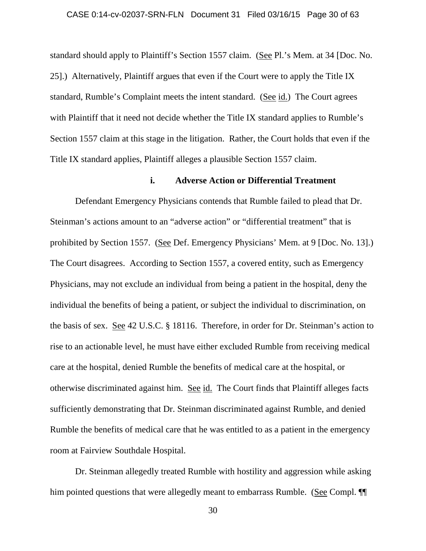## CASE 0:14-cv-02037-SRN-FLN Document 31 Filed 03/16/15 Page 30 of 63

standard should apply to Plaintiff's Section 1557 claim. (See Pl.'s Mem. at 34 [Doc. No. 25].) Alternatively, Plaintiff argues that even if the Court were to apply the Title IX standard, Rumble's Complaint meets the intent standard. (See id.) The Court agrees with Plaintiff that it need not decide whether the Title IX standard applies to Rumble's Section 1557 claim at this stage in the litigation. Rather, the Court holds that even if the Title IX standard applies, Plaintiff alleges a plausible Section 1557 claim.

# **i. Adverse Action or Differential Treatment**

Defendant Emergency Physicians contends that Rumble failed to plead that Dr. Steinman's actions amount to an "adverse action" or "differential treatment" that is prohibited by Section 1557. (See Def. Emergency Physicians' Mem. at 9 [Doc. No. 13].) The Court disagrees. According to Section 1557, a covered entity, such as Emergency Physicians, may not exclude an individual from being a patient in the hospital, deny the individual the benefits of being a patient, or subject the individual to discrimination, on the basis of sex. See 42 U.S.C. § 18116. Therefore, in order for Dr. Steinman's action to rise to an actionable level, he must have either excluded Rumble from receiving medical care at the hospital, denied Rumble the benefits of medical care at the hospital, or otherwise discriminated against him. See id. The Court finds that Plaintiff alleges facts sufficiently demonstrating that Dr. Steinman discriminated against Rumble, and denied Rumble the benefits of medical care that he was entitled to as a patient in the emergency room at Fairview Southdale Hospital.

Dr. Steinman allegedly treated Rumble with hostility and aggression while asking him pointed questions that were allegedly meant to embarrass Rumble. (See Compl.  $\P$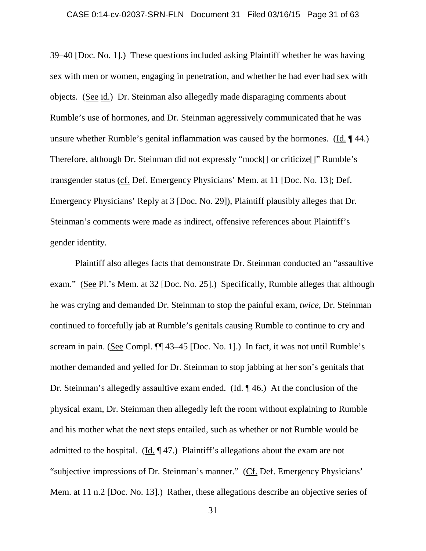### CASE 0:14-cv-02037-SRN-FLN Document 31 Filed 03/16/15 Page 31 of 63

39–40 [Doc. No. 1].) These questions included asking Plaintiff whether he was having sex with men or women, engaging in penetration, and whether he had ever had sex with objects. (See id.) Dr. Steinman also allegedly made disparaging comments about Rumble's use of hormones, and Dr. Steinman aggressively communicated that he was unsure whether Rumble's genital inflammation was caused by the hormones. (Id. ¶ 44.) Therefore, although Dr. Steinman did not expressly "mock[] or criticize[]" Rumble's transgender status (cf. Def. Emergency Physicians' Mem. at 11 [Doc. No. 13]; Def. Emergency Physicians' Reply at 3 [Doc. No. 29]), Plaintiff plausibly alleges that Dr. Steinman's comments were made as indirect, offensive references about Plaintiff's gender identity.

Plaintiff also alleges facts that demonstrate Dr. Steinman conducted an "assaultive exam." (See Pl.'s Mem. at 32 [Doc. No. 25].) Specifically, Rumble alleges that although he was crying and demanded Dr. Steinman to stop the painful exam, *twice*, Dr. Steinman continued to forcefully jab at Rumble's genitals causing Rumble to continue to cry and scream in pain. (See Compl.  $\P$  43–45 [Doc. No. 1].) In fact, it was not until Rumble's mother demanded and yelled for Dr. Steinman to stop jabbing at her son's genitals that Dr. Steinman's allegedly assaultive exam ended. (Id. ¶ 46.) At the conclusion of the physical exam, Dr. Steinman then allegedly left the room without explaining to Rumble and his mother what the next steps entailed, such as whether or not Rumble would be admitted to the hospital. (Id. ¶ 47.) Plaintiff's allegations about the exam are not "subjective impressions of Dr. Steinman's manner." (Cf. Def. Emergency Physicians' Mem. at 11 n.2 [Doc. No. 13].) Rather, these allegations describe an objective series of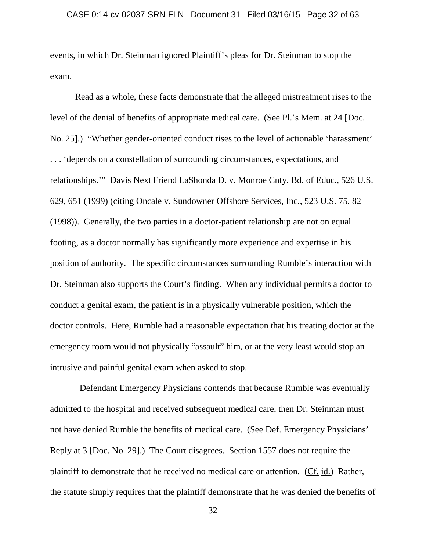events, in which Dr. Steinman ignored Plaintiff's pleas for Dr. Steinman to stop the exam.

Read as a whole, these facts demonstrate that the alleged mistreatment rises to the level of the denial of benefits of appropriate medical care. (See Pl.'s Mem. at 24 [Doc. No. 25].) "Whether gender-oriented conduct rises to the level of actionable 'harassment' . . . 'depends on a constellation of surrounding circumstances, expectations, and relationships.'" Davis Next Friend LaShonda D. v. Monroe Cnty. Bd. of Educ., 526 U.S. 629, 651 (1999) (citing Oncale v. Sundowner Offshore Services, Inc., 523 U.S. 75, 82 (1998)). Generally, the two parties in a doctor-patient relationship are not on equal footing, as a doctor normally has significantly more experience and expertise in his position of authority. The specific circumstances surrounding Rumble's interaction with Dr. Steinman also supports the Court's finding. When any individual permits a doctor to conduct a genital exam, the patient is in a physically vulnerable position, which the doctor controls. Here, Rumble had a reasonable expectation that his treating doctor at the emergency room would not physically "assault" him, or at the very least would stop an intrusive and painful genital exam when asked to stop.

 Defendant Emergency Physicians contends that because Rumble was eventually admitted to the hospital and received subsequent medical care, then Dr. Steinman must not have denied Rumble the benefits of medical care. (See Def. Emergency Physicians' Reply at 3 [Doc. No. 29].) The Court disagrees. Section 1557 does not require the plaintiff to demonstrate that he received no medical care or attention. (Cf. id.) Rather, the statute simply requires that the plaintiff demonstrate that he was denied the benefits of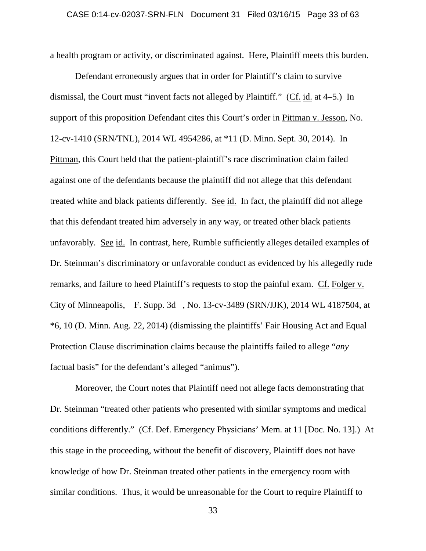a health program or activity, or discriminated against. Here, Plaintiff meets this burden.

Defendant erroneously argues that in order for Plaintiff's claim to survive dismissal, the Court must "invent facts not alleged by Plaintiff." (Cf. id. at 4–5.) In support of this proposition Defendant cites this Court's order in Pittman v. Jesson, No. 12-cv-1410 (SRN/TNL), 2014 WL 4954286, at \*11 (D. Minn. Sept. 30, 2014). In Pittman, this Court held that the patient-plaintiff's race discrimination claim failed against one of the defendants because the plaintiff did not allege that this defendant treated white and black patients differently. See id. In fact, the plaintiff did not allege that this defendant treated him adversely in any way, or treated other black patients unfavorably. See id. In contrast, here, Rumble sufficiently alleges detailed examples of Dr. Steinman's discriminatory or unfavorable conduct as evidenced by his allegedly rude remarks, and failure to heed Plaintiff's requests to stop the painful exam. Cf. Folger v. City of Minneapolis, F. Supp. 3d , No. 13-cv-3489 (SRN/JJK), 2014 WL 4187504, at \*6, 10 (D. Minn. Aug. 22, 2014) (dismissing the plaintiffs' Fair Housing Act and Equal Protection Clause discrimination claims because the plaintiffs failed to allege "*any* factual basis" for the defendant's alleged "animus").

Moreover, the Court notes that Plaintiff need not allege facts demonstrating that Dr. Steinman "treated other patients who presented with similar symptoms and medical conditions differently." (Cf. Def. Emergency Physicians' Mem. at 11 [Doc. No. 13].) At this stage in the proceeding, without the benefit of discovery, Plaintiff does not have knowledge of how Dr. Steinman treated other patients in the emergency room with similar conditions. Thus, it would be unreasonable for the Court to require Plaintiff to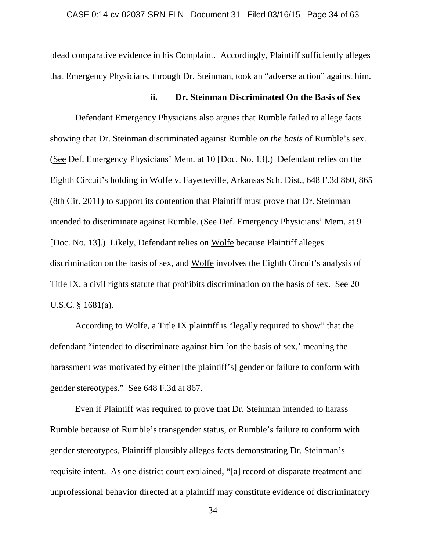plead comparative evidence in his Complaint. Accordingly, Plaintiff sufficiently alleges that Emergency Physicians, through Dr. Steinman, took an "adverse action" against him.

## **ii. Dr. Steinman Discriminated On the Basis of Sex**

Defendant Emergency Physicians also argues that Rumble failed to allege facts showing that Dr. Steinman discriminated against Rumble *on the basis* of Rumble's sex. (See Def. Emergency Physicians' Mem. at 10 [Doc. No. 13].) Defendant relies on the Eighth Circuit's holding in Wolfe v. Fayetteville, Arkansas Sch. Dist., 648 F.3d 860, 865 (8th Cir. 2011) to support its contention that Plaintiff must prove that Dr. Steinman intended to discriminate against Rumble. (See Def. Emergency Physicians' Mem. at 9 [Doc. No. 13].) Likely, Defendant relies on Wolfe because Plaintiff alleges discrimination on the basis of sex, and Wolfe involves the Eighth Circuit's analysis of Title IX, a civil rights statute that prohibits discrimination on the basis of sex. See 20 U.S.C. § 1681(a).

According to Wolfe, a Title IX plaintiff is "legally required to show" that the defendant "intended to discriminate against him 'on the basis of sex,' meaning the harassment was motivated by either [the plaintiff's] gender or failure to conform with gender stereotypes." See 648 F.3d at 867.

Even if Plaintiff was required to prove that Dr. Steinman intended to harass Rumble because of Rumble's transgender status, or Rumble's failure to conform with gender stereotypes, Plaintiff plausibly alleges facts demonstrating Dr. Steinman's requisite intent. As one district court explained, "[a] record of disparate treatment and unprofessional behavior directed at a plaintiff may constitute evidence of discriminatory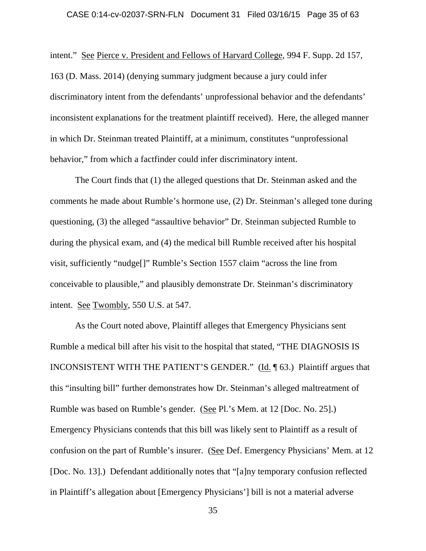intent." See Pierce v. President and Fellows of Harvard College, 994 F. Supp. 2d 157, 163 (D. Mass. 2014) (denying summary judgment because a jury could infer discriminatory intent from the defendants' unprofessional behavior and the defendants' inconsistent explanations for the treatment plaintiff received). Here, the alleged manner in which Dr. Steinman treated Plaintiff, at a minimum, constitutes "unprofessional behavior," from which a factfinder could infer discriminatory intent.

The Court finds that (1) the alleged questions that Dr. Steinman asked and the comments he made about Rumble's hormone use, (2) Dr. Steinman's alleged tone during questioning, (3) the alleged "assaultive behavior" Dr. Steinman subjected Rumble to during the physical exam, and (4) the medical bill Rumble received after his hospital visit, sufficiently "nudge[]" Rumble's Section 1557 claim "across the line from conceivable to plausible," and plausibly demonstrate Dr. Steinman's discriminatory intent. See Twombly, 550 U.S. at 547.

As the Court noted above, Plaintiff alleges that Emergency Physicians sent Rumble a medical bill after his visit to the hospital that stated, "THE DIAGNOSIS IS INCONSISTENT WITH THE PATIENT'S GENDER." (Id. ¶ 63.) Plaintiff argues that this "insulting bill" further demonstrates how Dr. Steinman's alleged maltreatment of Rumble was based on Rumble's gender. (See Pl.'s Mem. at 12 [Doc. No. 25].) Emergency Physicians contends that this bill was likely sent to Plaintiff as a result of confusion on the part of Rumble's insurer. (See Def. Emergency Physicians' Mem. at 12 [Doc. No. 13].) Defendant additionally notes that "[a]ny temporary confusion reflected in Plaintiff's allegation about [Emergency Physicians'] bill is not a material adverse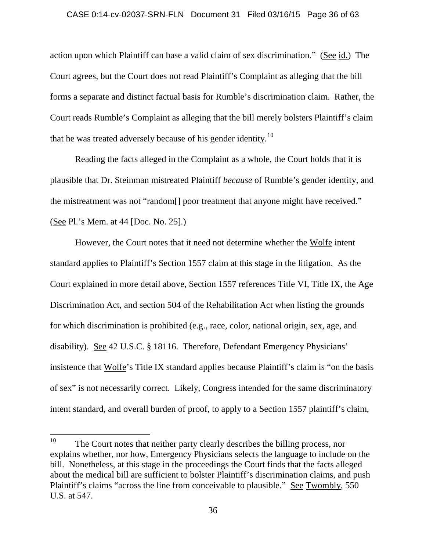#### CASE 0:14-cv-02037-SRN-FLN Document 31 Filed 03/16/15 Page 36 of 63

action upon which Plaintiff can base a valid claim of sex discrimination." (See id.) The Court agrees, but the Court does not read Plaintiff's Complaint as alleging that the bill forms a separate and distinct factual basis for Rumble's discrimination claim. Rather, the Court reads Rumble's Complaint as alleging that the bill merely bolsters Plaintiff's claim that he was treated adversely because of his gender identity.<sup>10</sup>

Reading the facts alleged in the Complaint as a whole, the Court holds that it is plausible that Dr. Steinman mistreated Plaintiff *because* of Rumble's gender identity, and the mistreatment was not "random[] poor treatment that anyone might have received." (See Pl.'s Mem. at 44 [Doc. No. 25].)

However, the Court notes that it need not determine whether the Wolfe intent standard applies to Plaintiff's Section 1557 claim at this stage in the litigation. As the Court explained in more detail above, Section 1557 references Title VI, Title IX, the Age Discrimination Act, and section 504 of the Rehabilitation Act when listing the grounds for which discrimination is prohibited (e.g., race, color, national origin, sex, age, and disability). See 42 U.S.C. § 18116. Therefore, Defendant Emergency Physicians' insistence that Wolfe's Title IX standard applies because Plaintiff's claim is "on the basis of sex" is not necessarily correct. Likely, Congress intended for the same discriminatory intent standard, and overall burden of proof, to apply to a Section 1557 plaintiff's claim,

<sup>&</sup>lt;sup>10</sup> The Court notes that neither party clearly describes the billing process, nor explains whether, nor how, Emergency Physicians selects the language to include on the bill. Nonetheless, at this stage in the proceedings the Court finds that the facts alleged about the medical bill are sufficient to bolster Plaintiff's discrimination claims, and push Plaintiff's claims "across the line from conceivable to plausible." See Twombly, 550 U.S. at 547.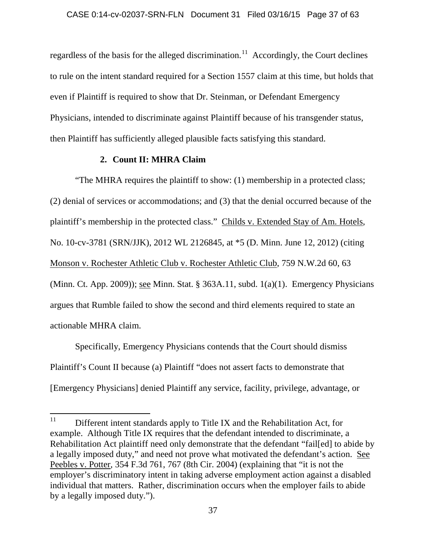regardless of the basis for the alleged discrimination.<sup>11</sup> Accordingly, the Court declines to rule on the intent standard required for a Section 1557 claim at this time, but holds that even if Plaintiff is required to show that Dr. Steinman, or Defendant Emergency Physicians, intended to discriminate against Plaintiff because of his transgender status, then Plaintiff has sufficiently alleged plausible facts satisfying this standard.

# **2. Count II: MHRA Claim**

"The MHRA requires the plaintiff to show: (1) membership in a protected class; (2) denial of services or accommodations; and (3) that the denial occurred because of the plaintiff's membership in the protected class." Childs v. Extended Stay of Am. Hotels, No. 10-cv-3781 (SRN/JJK), 2012 WL 2126845, at \*5 (D. Minn. June 12, 2012) (citing Monson v. Rochester Athletic Club v. Rochester Athletic Club, 759 N.W.2d 60, 63 (Minn. Ct. App. 2009)); see Minn. Stat. § 363A.11, subd. 1(a)(1). Emergency Physicians argues that Rumble failed to show the second and third elements required to state an actionable MHRA claim.

Specifically, Emergency Physicians contends that the Court should dismiss Plaintiff's Count II because (a) Plaintiff "does not assert facts to demonstrate that [Emergency Physicians] denied Plaintiff any service, facility, privilege, advantage, or

<sup>&</sup>lt;sup>11</sup> Different intent standards apply to Title IX and the Rehabilitation Act, for example. Although Title IX requires that the defendant intended to discriminate, a Rehabilitation Act plaintiff need only demonstrate that the defendant "fail[ed] to abide by a legally imposed duty," and need not prove what motivated the defendant's action. See Peebles v. Potter, 354 F.3d 761, 767 (8th Cir. 2004) (explaining that "it is not the employer's discriminatory intent in taking adverse employment action against a disabled individual that matters. Rather, discrimination occurs when the employer fails to abide by a legally imposed duty.").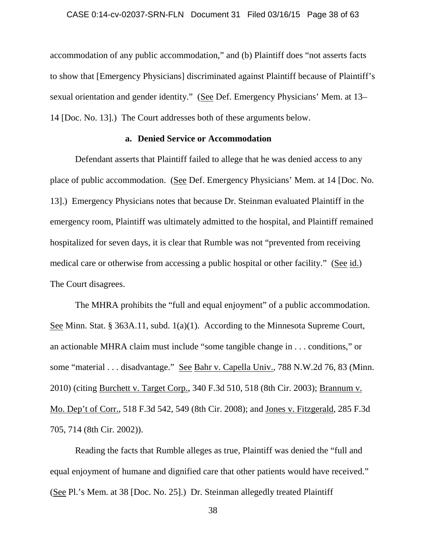accommodation of any public accommodation," and (b) Plaintiff does "not asserts facts to show that [Emergency Physicians] discriminated against Plaintiff because of Plaintiff's sexual orientation and gender identity." (See Def. Emergency Physicians' Mem. at 13– 14 [Doc. No. 13].) The Court addresses both of these arguments below.

## **a. Denied Service or Accommodation**

Defendant asserts that Plaintiff failed to allege that he was denied access to any place of public accommodation. (See Def. Emergency Physicians' Mem. at 14 [Doc. No. 13].) Emergency Physicians notes that because Dr. Steinman evaluated Plaintiff in the emergency room, Plaintiff was ultimately admitted to the hospital, and Plaintiff remained hospitalized for seven days, it is clear that Rumble was not "prevented from receiving medical care or otherwise from accessing a public hospital or other facility." (See id.) The Court disagrees.

The MHRA prohibits the "full and equal enjoyment" of a public accommodation. See Minn. Stat. § 363A.11, subd. 1(a)(1). According to the Minnesota Supreme Court, an actionable MHRA claim must include "some tangible change in . . . conditions," or some "material . . . disadvantage." See Bahr v. Capella Univ., 788 N.W.2d 76, 83 (Minn. 2010) (citing Burchett v. Target Corp., 340 F.3d 510, 518 (8th Cir. 2003); Brannum v. Mo. Dep't of Corr., 518 F.3d 542, 549 (8th Cir. 2008); and Jones v. Fitzgerald, 285 F.3d 705, 714 (8th Cir. 2002)).

Reading the facts that Rumble alleges as true, Plaintiff was denied the "full and equal enjoyment of humane and dignified care that other patients would have received." (See Pl.'s Mem. at 38 [Doc. No. 25].) Dr. Steinman allegedly treated Plaintiff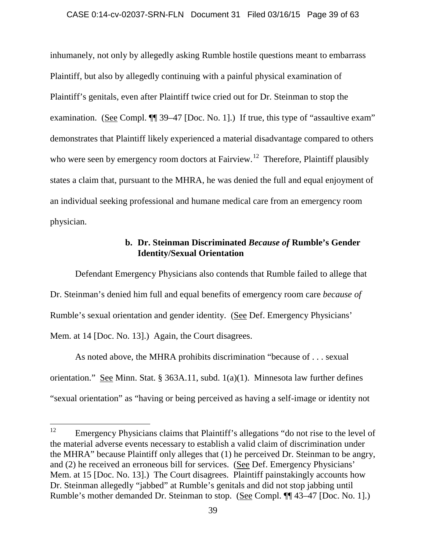#### CASE 0:14-cv-02037-SRN-FLN Document 31 Filed 03/16/15 Page 39 of 63

inhumanely, not only by allegedly asking Rumble hostile questions meant to embarrass Plaintiff, but also by allegedly continuing with a painful physical examination of Plaintiff's genitals, even after Plaintiff twice cried out for Dr. Steinman to stop the examination. (See Compl.  $\P$  39–47 [Doc. No. 1].) If true, this type of "assaultive exam" demonstrates that Plaintiff likely experienced a material disadvantage compared to others who were seen by emergency room doctors at Fairview.<sup>12</sup> Therefore, Plaintiff plausibly states a claim that, pursuant to the MHRA, he was denied the full and equal enjoyment of an individual seeking professional and humane medical care from an emergency room physician.

## **b. Dr. Steinman Discriminated** *Because of* **Rumble's Gender Identity/Sexual Orientation**

Defendant Emergency Physicians also contends that Rumble failed to allege that Dr. Steinman's denied him full and equal benefits of emergency room care *because of* Rumble's sexual orientation and gender identity. (See Def. Emergency Physicians' Mem. at 14 [Doc. No. 13].) Again, the Court disagrees.

As noted above, the MHRA prohibits discrimination "because of . . . sexual orientation." See Minn. Stat. § 363A.11, subd. 1(a)(1). Minnesota law further defines "sexual orientation" as "having or being perceived as having a self-image or identity not

<sup>&</sup>lt;sup>12</sup> Emergency Physicians claims that Plaintiff's allegations "do not rise to the level of the material adverse events necessary to establish a valid claim of discrimination under the MHRA" because Plaintiff only alleges that (1) he perceived Dr. Steinman to be angry, and (2) he received an erroneous bill for services. (See Def. Emergency Physicians' Mem. at 15 [Doc. No. 13].) The Court disagrees. Plaintiff painstakingly accounts how Dr. Steinman allegedly "jabbed" at Rumble's genitals and did not stop jabbing until Rumble's mother demanded Dr. Steinman to stop. (See Compl. ¶¶ 43–47 [Doc. No. 1].)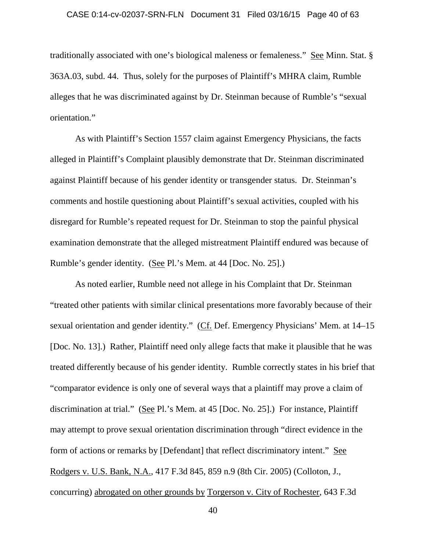### CASE 0:14-cv-02037-SRN-FLN Document 31 Filed 03/16/15 Page 40 of 63

traditionally associated with one's biological maleness or femaleness." See Minn. Stat. § 363A.03, subd. 44. Thus, solely for the purposes of Plaintiff's MHRA claim, Rumble alleges that he was discriminated against by Dr. Steinman because of Rumble's "sexual orientation."

As with Plaintiff's Section 1557 claim against Emergency Physicians, the facts alleged in Plaintiff's Complaint plausibly demonstrate that Dr. Steinman discriminated against Plaintiff because of his gender identity or transgender status. Dr. Steinman's comments and hostile questioning about Plaintiff's sexual activities, coupled with his disregard for Rumble's repeated request for Dr. Steinman to stop the painful physical examination demonstrate that the alleged mistreatment Plaintiff endured was because of Rumble's gender identity. (See Pl.'s Mem. at 44 [Doc. No. 25].)

As noted earlier, Rumble need not allege in his Complaint that Dr. Steinman "treated other patients with similar clinical presentations more favorably because of their sexual orientation and gender identity." (Cf. Def. Emergency Physicians' Mem. at 14–15 [Doc. No. 13].) Rather, Plaintiff need only allege facts that make it plausible that he was treated differently because of his gender identity. Rumble correctly states in his brief that "comparator evidence is only one of several ways that a plaintiff may prove a claim of discrimination at trial." (See Pl.'s Mem. at 45 [Doc. No. 25].) For instance, Plaintiff may attempt to prove sexual orientation discrimination through "direct evidence in the form of actions or remarks by [Defendant] that reflect discriminatory intent." See Rodgers v. U.S. Bank, N.A., 417 F.3d 845, 859 n.9 (8th Cir. 2005) (Colloton, J., concurring) abrogated on other grounds by Torgerson v. City of Rochester, 643 F.3d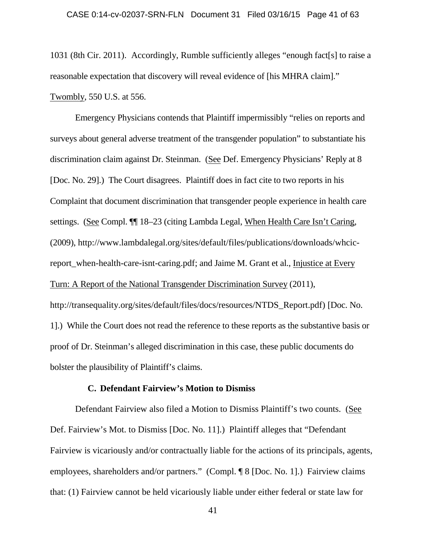1031 (8th Cir. 2011). Accordingly, Rumble sufficiently alleges "enough fact[s] to raise a reasonable expectation that discovery will reveal evidence of [his MHRA claim]." Twombly, 550 U.S. at 556.

Emergency Physicians contends that Plaintiff impermissibly "relies on reports and surveys about general adverse treatment of the transgender population" to substantiate his discrimination claim against Dr. Steinman. (See Def. Emergency Physicians' Reply at 8 [Doc. No. 29].) The Court disagrees. Plaintiff does in fact cite to two reports in his Complaint that document discrimination that transgender people experience in health care settings. (See Compl. ¶¶ 18–23 (citing Lambda Legal, When Health Care Isn't Caring, (2009), http://www.lambdalegal.org/sites/default/files/publications/downloads/whcicreport\_when-health-care-isnt-caring.pdf; and Jaime M. Grant et al., Injustice at Every Turn: A Report of the National Transgender Discrimination Survey (2011), http://transequality.org/sites/default/files/docs/resources/NTDS\_Report.pdf) [Doc. No. 1].) While the Court does not read the reference to these reports as the substantive basis or proof of Dr. Steinman's alleged discrimination in this case, these public documents do bolster the plausibility of Plaintiff's claims.

### **C. Defendant Fairview's Motion to Dismiss**

Defendant Fairview also filed a Motion to Dismiss Plaintiff's two counts. (See Def. Fairview's Mot. to Dismiss [Doc. No. 11].) Plaintiff alleges that "Defendant Fairview is vicariously and/or contractually liable for the actions of its principals, agents, employees, shareholders and/or partners." (Compl. ¶ 8 [Doc. No. 1].) Fairview claims that: (1) Fairview cannot be held vicariously liable under either federal or state law for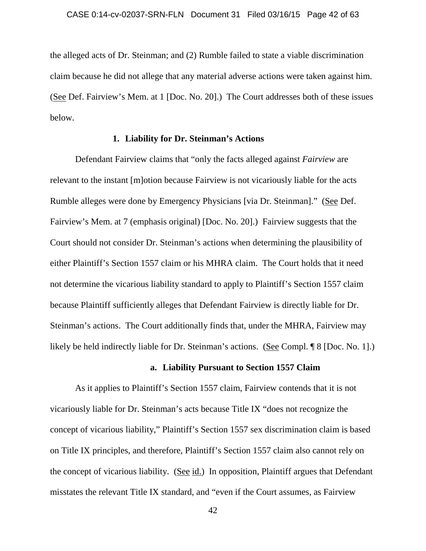the alleged acts of Dr. Steinman; and (2) Rumble failed to state a viable discrimination claim because he did not allege that any material adverse actions were taken against him. (See Def. Fairview's Mem. at 1 [Doc. No. 20].) The Court addresses both of these issues below.

### **1. Liability for Dr. Steinman's Actions**

Defendant Fairview claims that "only the facts alleged against *Fairview* are relevant to the instant [m]otion because Fairview is not vicariously liable for the acts Rumble alleges were done by Emergency Physicians [via Dr. Steinman]." (See Def. Fairview's Mem. at 7 (emphasis original) [Doc. No. 20].) Fairview suggests that the Court should not consider Dr. Steinman's actions when determining the plausibility of either Plaintiff's Section 1557 claim or his MHRA claim. The Court holds that it need not determine the vicarious liability standard to apply to Plaintiff's Section 1557 claim because Plaintiff sufficiently alleges that Defendant Fairview is directly liable for Dr. Steinman's actions. The Court additionally finds that, under the MHRA, Fairview may likely be held indirectly liable for Dr. Steinman's actions. (See Compl. ¶ 8 [Doc. No. 1].)

### **a. Liability Pursuant to Section 1557 Claim**

As it applies to Plaintiff's Section 1557 claim, Fairview contends that it is not vicariously liable for Dr. Steinman's acts because Title IX "does not recognize the concept of vicarious liability," Plaintiff's Section 1557 sex discrimination claim is based on Title IX principles, and therefore, Plaintiff's Section 1557 claim also cannot rely on the concept of vicarious liability. (See id.) In opposition, Plaintiff argues that Defendant misstates the relevant Title IX standard, and "even if the Court assumes, as Fairview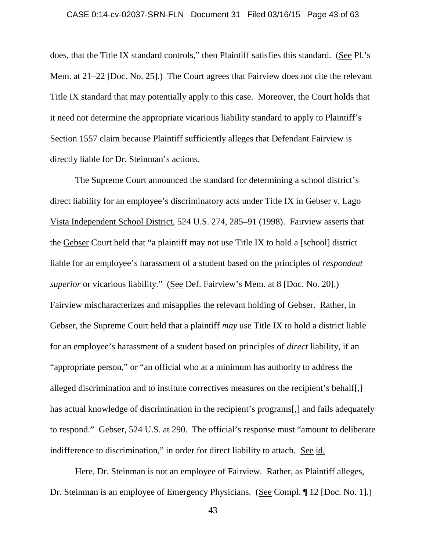### CASE 0:14-cv-02037-SRN-FLN Document 31 Filed 03/16/15 Page 43 of 63

does, that the Title IX standard controls," then Plaintiff satisfies this standard. (See Pl.'s Mem. at 21–22 [Doc. No. 25].) The Court agrees that Fairview does not cite the relevant Title IX standard that may potentially apply to this case. Moreover, the Court holds that it need not determine the appropriate vicarious liability standard to apply to Plaintiff's Section 1557 claim because Plaintiff sufficiently alleges that Defendant Fairview is directly liable for Dr. Steinman's actions.

The Supreme Court announced the standard for determining a school district's direct liability for an employee's discriminatory acts under Title IX in Gebser v. Lago Vista Independent School District, 524 U.S. 274, 285–91 (1998). Fairview asserts that the Gebser Court held that "a plaintiff may not use Title IX to hold a [school] district liable for an employee's harassment of a student based on the principles of *respondeat superior* or vicarious liability." (See Def. Fairview's Mem. at 8 [Doc. No. 20].) Fairview mischaracterizes and misapplies the relevant holding of Gebser. Rather, in Gebser, the Supreme Court held that a plaintiff *may* use Title IX to hold a district liable for an employee's harassment of a student based on principles of *direct* liability, if an "appropriate person," or "an official who at a minimum has authority to address the alleged discrimination and to institute correctives measures on the recipient's behalf[,] has actual knowledge of discrimination in the recipient's programs[,] and fails adequately to respond." Gebser, 524 U.S. at 290. The official's response must "amount to deliberate indifference to discrimination," in order for direct liability to attach. See id.

Here, Dr. Steinman is not an employee of Fairview. Rather, as Plaintiff alleges, Dr. Steinman is an employee of Emergency Physicians. (See Compl. ¶ 12 [Doc. No. 1].)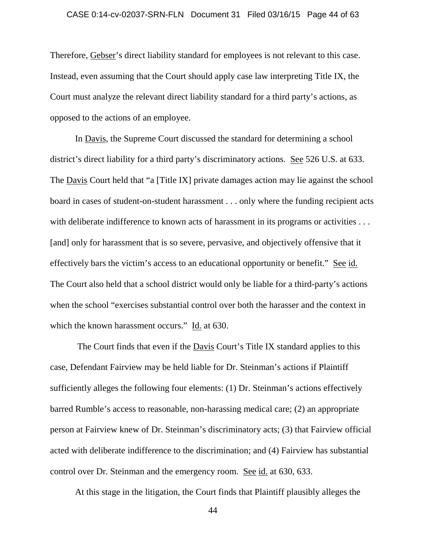### CASE 0:14-cv-02037-SRN-FLN Document 31 Filed 03/16/15 Page 44 of 63

Therefore, Gebser's direct liability standard for employees is not relevant to this case. Instead, even assuming that the Court should apply case law interpreting Title IX, the Court must analyze the relevant direct liability standard for a third party's actions, as opposed to the actions of an employee.

In Davis, the Supreme Court discussed the standard for determining a school district's direct liability for a third party's discriminatory actions. See 526 U.S. at 633. The Davis Court held that "a [Title IX] private damages action may lie against the school board in cases of student-on-student harassment . . . only where the funding recipient acts with deliberate indifference to known acts of harassment in its programs or activities ... [and] only for harassment that is so severe, pervasive, and objectively offensive that it effectively bars the victim's access to an educational opportunity or benefit." See id. The Court also held that a school district would only be liable for a third-party's actions when the school "exercises substantial control over both the harasser and the context in which the known harassment occurs." Id. at 630.

The Court finds that even if the Davis Court's Title IX standard applies to this case, Defendant Fairview may be held liable for Dr. Steinman's actions if Plaintiff sufficiently alleges the following four elements: (1) Dr. Steinman's actions effectively barred Rumble's access to reasonable, non-harassing medical care; (2) an appropriate person at Fairview knew of Dr. Steinman's discriminatory acts; (3) that Fairview official acted with deliberate indifference to the discrimination; and (4) Fairview has substantial control over Dr. Steinman and the emergency room. See id. at 630, 633.

At this stage in the litigation, the Court finds that Plaintiff plausibly alleges the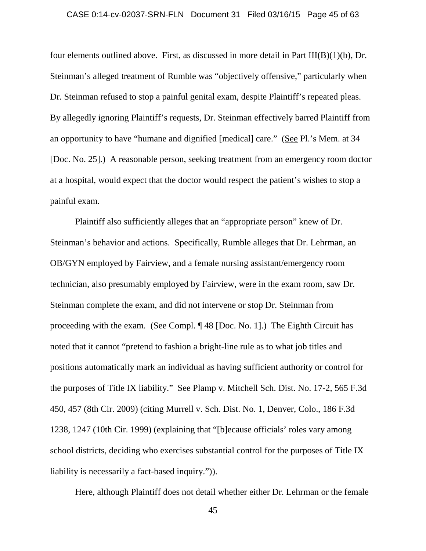### CASE 0:14-cv-02037-SRN-FLN Document 31 Filed 03/16/15 Page 45 of 63

four elements outlined above. First, as discussed in more detail in Part III(B)(1)(b), Dr. Steinman's alleged treatment of Rumble was "objectively offensive," particularly when Dr. Steinman refused to stop a painful genital exam, despite Plaintiff's repeated pleas. By allegedly ignoring Plaintiff's requests, Dr. Steinman effectively barred Plaintiff from an opportunity to have "humane and dignified [medical] care." (See Pl.'s Mem. at 34 [Doc. No. 25].) A reasonable person, seeking treatment from an emergency room doctor at a hospital, would expect that the doctor would respect the patient's wishes to stop a painful exam.

Plaintiff also sufficiently alleges that an "appropriate person" knew of Dr. Steinman's behavior and actions. Specifically, Rumble alleges that Dr. Lehrman, an OB/GYN employed by Fairview, and a female nursing assistant/emergency room technician, also presumably employed by Fairview, were in the exam room, saw Dr. Steinman complete the exam, and did not intervene or stop Dr. Steinman from proceeding with the exam. (See Compl. ¶ 48 [Doc. No. 1].) The Eighth Circuit has noted that it cannot "pretend to fashion a bright-line rule as to what job titles and positions automatically mark an individual as having sufficient authority or control for the purposes of Title IX liability." See Plamp v. Mitchell Sch. Dist. No. 17-2, 565 F.3d 450, 457 (8th Cir. 2009) (citing Murrell v. Sch. Dist. No. 1, Denver, Colo., 186 F.3d 1238, 1247 (10th Cir. 1999) (explaining that "[b]ecause officials' roles vary among school districts, deciding who exercises substantial control for the purposes of Title IX liability is necessarily a fact-based inquiry.")).

Here, although Plaintiff does not detail whether either Dr. Lehrman or the female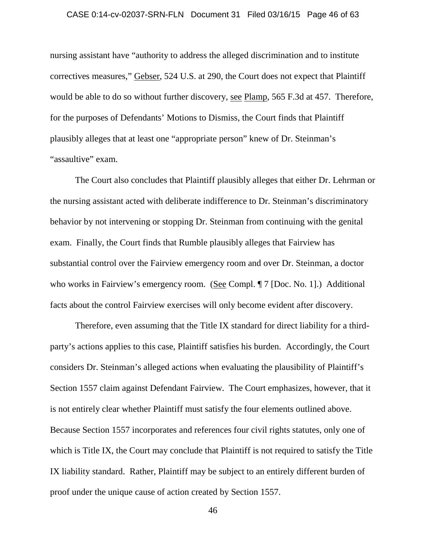### CASE 0:14-cv-02037-SRN-FLN Document 31 Filed 03/16/15 Page 46 of 63

nursing assistant have "authority to address the alleged discrimination and to institute correctives measures," Gebser, 524 U.S. at 290, the Court does not expect that Plaintiff would be able to do so without further discovery, see Plamp, 565 F.3d at 457. Therefore, for the purposes of Defendants' Motions to Dismiss, the Court finds that Plaintiff plausibly alleges that at least one "appropriate person" knew of Dr. Steinman's "assaultive" exam.

The Court also concludes that Plaintiff plausibly alleges that either Dr. Lehrman or the nursing assistant acted with deliberate indifference to Dr. Steinman's discriminatory behavior by not intervening or stopping Dr. Steinman from continuing with the genital exam. Finally, the Court finds that Rumble plausibly alleges that Fairview has substantial control over the Fairview emergency room and over Dr. Steinman, a doctor who works in Fairview's emergency room. (See Compl. ¶ 7 [Doc. No. 1].) Additional facts about the control Fairview exercises will only become evident after discovery.

Therefore, even assuming that the Title IX standard for direct liability for a thirdparty's actions applies to this case, Plaintiff satisfies his burden. Accordingly, the Court considers Dr. Steinman's alleged actions when evaluating the plausibility of Plaintiff's Section 1557 claim against Defendant Fairview. The Court emphasizes, however, that it is not entirely clear whether Plaintiff must satisfy the four elements outlined above. Because Section 1557 incorporates and references four civil rights statutes, only one of which is Title IX, the Court may conclude that Plaintiff is not required to satisfy the Title IX liability standard. Rather, Plaintiff may be subject to an entirely different burden of proof under the unique cause of action created by Section 1557.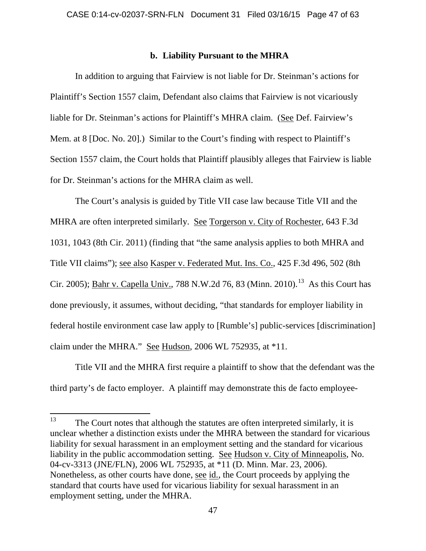## **b. Liability Pursuant to the MHRA**

In addition to arguing that Fairview is not liable for Dr. Steinman's actions for Plaintiff's Section 1557 claim, Defendant also claims that Fairview is not vicariously liable for Dr. Steinman's actions for Plaintiff's MHRA claim. (See Def. Fairview's Mem. at 8 [Doc. No. 20].) Similar to the Court's finding with respect to Plaintiff's Section 1557 claim, the Court holds that Plaintiff plausibly alleges that Fairview is liable for Dr. Steinman's actions for the MHRA claim as well.

The Court's analysis is guided by Title VII case law because Title VII and the MHRA are often interpreted similarly. See Torgerson v. City of Rochester, 643 F.3d 1031, 1043 (8th Cir. 2011) (finding that "the same analysis applies to both MHRA and Title VII claims"); see also Kasper v. Federated Mut. Ins. Co., 425 F.3d 496, 502 (8th Cir. 2005); <u>Bahr v. Capella Univ.</u>, 788 N.W.2d 76, 83 (Minn. 2010).<sup>13</sup> As this Court has done previously, it assumes, without deciding, "that standards for employer liability in federal hostile environment case law apply to [Rumble's] public-services [discrimination] claim under the MHRA." See Hudson, 2006 WL 752935, at \*11.

Title VII and the MHRA first require a plaintiff to show that the defendant was the third party's de facto employer. A plaintiff may demonstrate this de facto employee-

 $13$  The Court notes that although the statutes are often interpreted similarly, it is unclear whether a distinction exists under the MHRA between the standard for vicarious liability for sexual harassment in an employment setting and the standard for vicarious liability in the public accommodation setting. See Hudson v. City of Minneapolis, No. 04-cv-3313 (JNE/FLN), 2006 WL 752935, at \*11 (D. Minn. Mar. 23, 2006). Nonetheless, as other courts have done, see id., the Court proceeds by applying the standard that courts have used for vicarious liability for sexual harassment in an employment setting, under the MHRA.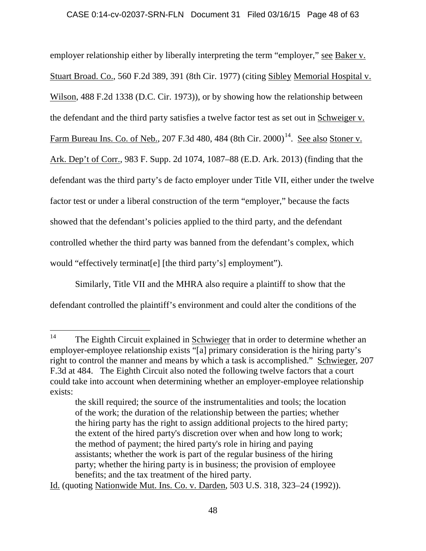employer relationship either by liberally interpreting the term "employer," see Baker v. Stuart Broad. Co., 560 F.2d 389, 391 (8th Cir. 1977) (citing Sibley Memorial Hospital v. Wilson, 488 F.2d 1338 (D.C. Cir. 1973)), or by showing how the relationship between the defendant and the third party satisfies a twelve factor test as set out in Schweiger v. Farm Bureau Ins. Co. of Neb., 207 F.3d 480, 484 (8th Cir. 2000)<sup>14</sup>. See also Stoner v. Ark. Dep't of Corr., 983 F. Supp. 2d 1074, 1087–88 (E.D. Ark. 2013) (finding that the defendant was the third party's de facto employer under Title VII, either under the twelve factor test or under a liberal construction of the term "employer," because the facts showed that the defendant's policies applied to the third party, and the defendant controlled whether the third party was banned from the defendant's complex, which would "effectively terminat[e] [the third party's] employment").

Similarly, Title VII and the MHRA also require a plaintiff to show that the defendant controlled the plaintiff's environment and could alter the conditions of the

Id. (quoting Nationwide Mut. Ins. Co. v. Darden, 503 U.S. 318, 323–24 (1992)).

<sup>&</sup>lt;sup>14</sup> The Eighth Circuit explained in Schwieger that in order to determine whether an employer-employee relationship exists "[a] primary consideration is the hiring party's right to control the manner and means by which a task is accomplished." Schwieger, 207 F.3d at 484. The Eighth Circuit also noted the following twelve factors that a court could take into account when determining whether an employer-employee relationship exists:

the skill required; the source of the instrumentalities and tools; the location of the work; the duration of the relationship between the parties; whether the hiring party has the right to assign additional projects to the hired party; the extent of the hired party's discretion over when and how long to work; the method of payment; the hired party's role in hiring and paying assistants; whether the work is part of the regular business of the hiring party; whether the hiring party is in business; the provision of employee benefits; and the tax treatment of the hired party.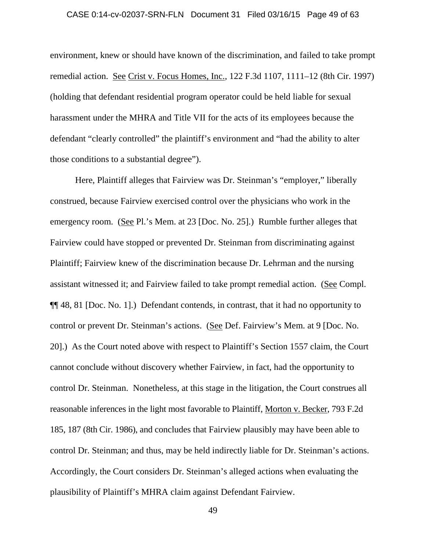### CASE 0:14-cv-02037-SRN-FLN Document 31 Filed 03/16/15 Page 49 of 63

environment, knew or should have known of the discrimination, and failed to take prompt remedial action. See Crist v. Focus Homes, Inc., 122 F.3d 1107, 1111–12 (8th Cir. 1997) (holding that defendant residential program operator could be held liable for sexual harassment under the MHRA and Title VII for the acts of its employees because the defendant "clearly controlled" the plaintiff's environment and "had the ability to alter those conditions to a substantial degree").

Here, Plaintiff alleges that Fairview was Dr. Steinman's "employer," liberally construed, because Fairview exercised control over the physicians who work in the emergency room. (See Pl.'s Mem. at 23 [Doc. No. 25].) Rumble further alleges that Fairview could have stopped or prevented Dr. Steinman from discriminating against Plaintiff; Fairview knew of the discrimination because Dr. Lehrman and the nursing assistant witnessed it; and Fairview failed to take prompt remedial action. (See Compl. ¶¶ 48, 81 [Doc. No. 1].) Defendant contends, in contrast, that it had no opportunity to control or prevent Dr. Steinman's actions. (See Def. Fairview's Mem. at 9 [Doc. No. 20].) As the Court noted above with respect to Plaintiff's Section 1557 claim, the Court cannot conclude without discovery whether Fairview, in fact, had the opportunity to control Dr. Steinman. Nonetheless, at this stage in the litigation, the Court construes all reasonable inferences in the light most favorable to Plaintiff, Morton v. Becker, 793 F.2d 185, 187 (8th Cir. 1986), and concludes that Fairview plausibly may have been able to control Dr. Steinman; and thus, may be held indirectly liable for Dr. Steinman's actions. Accordingly, the Court considers Dr. Steinman's alleged actions when evaluating the plausibility of Plaintiff's MHRA claim against Defendant Fairview.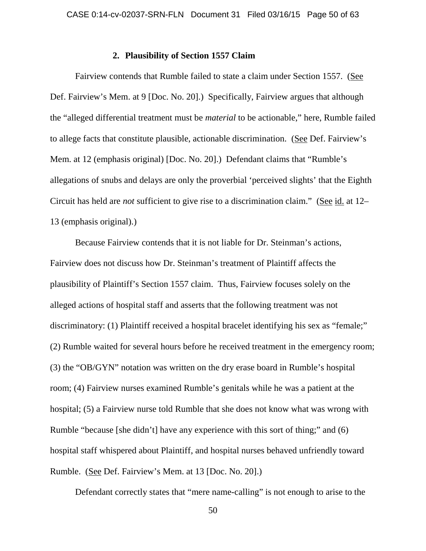### **2. Plausibility of Section 1557 Claim**

Fairview contends that Rumble failed to state a claim under Section 1557. (See Def. Fairview's Mem. at 9 [Doc. No. 20].) Specifically, Fairview argues that although the "alleged differential treatment must be *material* to be actionable," here, Rumble failed to allege facts that constitute plausible, actionable discrimination. (See Def. Fairview's Mem. at 12 (emphasis original) [Doc. No. 20].) Defendant claims that "Rumble's allegations of snubs and delays are only the proverbial 'perceived slights' that the Eighth Circuit has held are *not* sufficient to give rise to a discrimination claim." (See id. at 12– 13 (emphasis original).)

Because Fairview contends that it is not liable for Dr. Steinman's actions, Fairview does not discuss how Dr. Steinman's treatment of Plaintiff affects the plausibility of Plaintiff's Section 1557 claim. Thus, Fairview focuses solely on the alleged actions of hospital staff and asserts that the following treatment was not discriminatory: (1) Plaintiff received a hospital bracelet identifying his sex as "female;" (2) Rumble waited for several hours before he received treatment in the emergency room; (3) the "OB/GYN" notation was written on the dry erase board in Rumble's hospital room; (4) Fairview nurses examined Rumble's genitals while he was a patient at the hospital; (5) a Fairview nurse told Rumble that she does not know what was wrong with Rumble "because [she didn't] have any experience with this sort of thing;" and (6) hospital staff whispered about Plaintiff, and hospital nurses behaved unfriendly toward Rumble. (See Def. Fairview's Mem. at 13 [Doc. No. 20].)

Defendant correctly states that "mere name-calling" is not enough to arise to the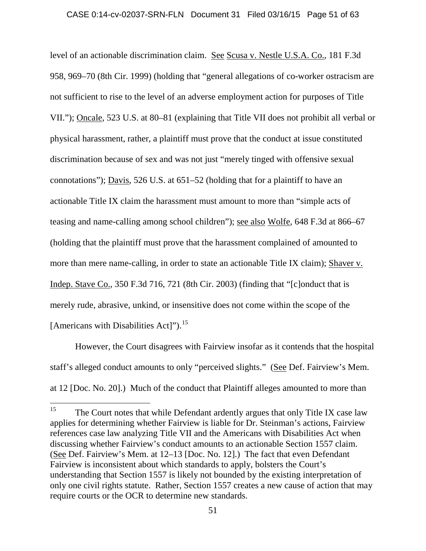### CASE 0:14-cv-02037-SRN-FLN Document 31 Filed 03/16/15 Page 51 of 63

level of an actionable discrimination claim. See Scusa v. Nestle U.S.A. Co., 181 F.3d 958, 969–70 (8th Cir. 1999) (holding that "general allegations of co-worker ostracism are not sufficient to rise to the level of an adverse employment action for purposes of Title VII."); Oncale, 523 U.S. at 80–81 (explaining that Title VII does not prohibit all verbal or physical harassment, rather, a plaintiff must prove that the conduct at issue constituted discrimination because of sex and was not just "merely tinged with offensive sexual connotations"); Davis, 526 U.S. at 651–52 (holding that for a plaintiff to have an actionable Title IX claim the harassment must amount to more than "simple acts of teasing and name-calling among school children"); see also Wolfe, 648 F.3d at 866–67 (holding that the plaintiff must prove that the harassment complained of amounted to more than mere name-calling, in order to state an actionable Title IX claim); Shaver v. Indep. Stave Co., 350 F.3d 716, 721 (8th Cir. 2003) (finding that "[c]onduct that is merely rude, abrasive, unkind, or insensitive does not come within the scope of the [Americans with Disabilities Act]").<sup>15</sup>

However, the Court disagrees with Fairview insofar as it contends that the hospital staff's alleged conduct amounts to only "perceived slights." (See Def. Fairview's Mem. at 12 [Doc. No. 20].) Much of the conduct that Plaintiff alleges amounted to more than

<sup>&</sup>lt;sup>15</sup> The Court notes that while Defendant ardently argues that only Title IX case law applies for determining whether Fairview is liable for Dr. Steinman's actions, Fairview references case law analyzing Title VII and the Americans with Disabilities Act when discussing whether Fairview's conduct amounts to an actionable Section 1557 claim. (See Def. Fairview's Mem. at 12–13 [Doc. No. 12].) The fact that even Defendant Fairview is inconsistent about which standards to apply, bolsters the Court's understanding that Section 1557 is likely not bounded by the existing interpretation of only one civil rights statute. Rather, Section 1557 creates a new cause of action that may require courts or the OCR to determine new standards.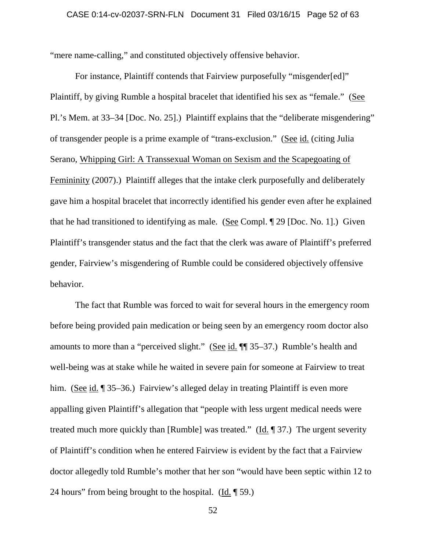"mere name-calling," and constituted objectively offensive behavior.

For instance, Plaintiff contends that Fairview purposefully "misgender[ed]" Plaintiff, by giving Rumble a hospital bracelet that identified his sex as "female." (See Pl.'s Mem. at 33–34 [Doc. No. 25].) Plaintiff explains that the "deliberate misgendering" of transgender people is a prime example of "trans-exclusion." (See id. (citing Julia Serano, Whipping Girl: A Transsexual Woman on Sexism and the Scapegoating of Femininity (2007).) Plaintiff alleges that the intake clerk purposefully and deliberately gave him a hospital bracelet that incorrectly identified his gender even after he explained that he had transitioned to identifying as male. (See Compl. ¶ 29 [Doc. No. 1].) Given Plaintiff's transgender status and the fact that the clerk was aware of Plaintiff's preferred gender, Fairview's misgendering of Rumble could be considered objectively offensive behavior.

The fact that Rumble was forced to wait for several hours in the emergency room before being provided pain medication or being seen by an emergency room doctor also amounts to more than a "perceived slight." (See id. ¶¶ 35–37.) Rumble's health and well-being was at stake while he waited in severe pain for someone at Fairview to treat him. (See id. ¶ 35–36.) Fairview's alleged delay in treating Plaintiff is even more appalling given Plaintiff's allegation that "people with less urgent medical needs were treated much more quickly than [Rumble] was treated." (Id. ¶ 37.) The urgent severity of Plaintiff's condition when he entered Fairview is evident by the fact that a Fairview doctor allegedly told Rumble's mother that her son "would have been septic within 12 to 24 hours" from being brought to the hospital. (Id. ¶ 59.)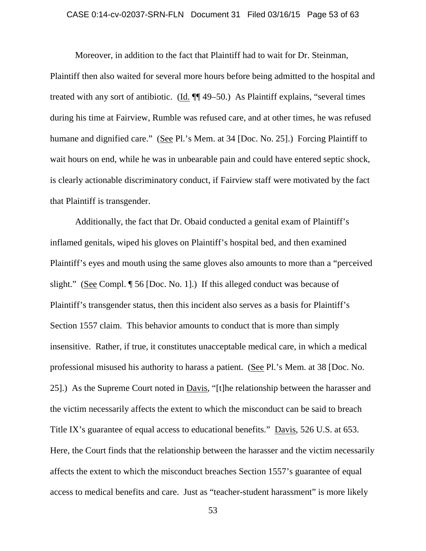### CASE 0:14-cv-02037-SRN-FLN Document 31 Filed 03/16/15 Page 53 of 63

Moreover, in addition to the fact that Plaintiff had to wait for Dr. Steinman, Plaintiff then also waited for several more hours before being admitted to the hospital and treated with any sort of antibiotic. (Id. ¶¶ 49–50.) As Plaintiff explains, "several times during his time at Fairview, Rumble was refused care, and at other times, he was refused humane and dignified care." (See Pl.'s Mem. at 34 [Doc. No. 25].) Forcing Plaintiff to wait hours on end, while he was in unbearable pain and could have entered septic shock, is clearly actionable discriminatory conduct, if Fairview staff were motivated by the fact that Plaintiff is transgender.

Additionally, the fact that Dr. Obaid conducted a genital exam of Plaintiff's inflamed genitals, wiped his gloves on Plaintiff's hospital bed, and then examined Plaintiff's eyes and mouth using the same gloves also amounts to more than a "perceived slight." (See Compl. ¶ 56 [Doc. No. 1].) If this alleged conduct was because of Plaintiff's transgender status, then this incident also serves as a basis for Plaintiff's Section 1557 claim. This behavior amounts to conduct that is more than simply insensitive. Rather, if true, it constitutes unacceptable medical care, in which a medical professional misused his authority to harass a patient. (See Pl.'s Mem. at 38 [Doc. No. 25].) As the Supreme Court noted in Davis, "[t]he relationship between the harasser and the victim necessarily affects the extent to which the misconduct can be said to breach Title IX's guarantee of equal access to educational benefits." Davis, 526 U.S. at 653. Here, the Court finds that the relationship between the harasser and the victim necessarily affects the extent to which the misconduct breaches Section 1557's guarantee of equal access to medical benefits and care. Just as "teacher-student harassment" is more likely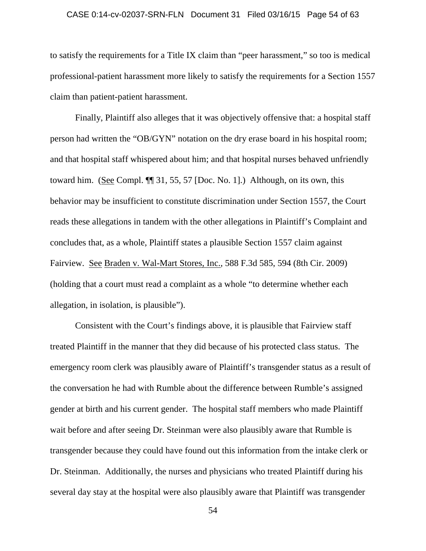# CASE 0:14-cv-02037-SRN-FLN Document 31 Filed 03/16/15 Page 54 of 63

to satisfy the requirements for a Title IX claim than "peer harassment," so too is medical professional-patient harassment more likely to satisfy the requirements for a Section 1557 claim than patient-patient harassment.

Finally, Plaintiff also alleges that it was objectively offensive that: a hospital staff person had written the "OB/GYN" notation on the dry erase board in his hospital room; and that hospital staff whispered about him; and that hospital nurses behaved unfriendly toward him. (See Compl. ¶¶ 31, 55, 57 [Doc. No. 1].) Although, on its own, this behavior may be insufficient to constitute discrimination under Section 1557, the Court reads these allegations in tandem with the other allegations in Plaintiff's Complaint and concludes that, as a whole, Plaintiff states a plausible Section 1557 claim against Fairview. See Braden v. Wal-Mart Stores, Inc., 588 F.3d 585, 594 (8th Cir. 2009) (holding that a court must read a complaint as a whole "to determine whether each allegation, in isolation, is plausible").

Consistent with the Court's findings above, it is plausible that Fairview staff treated Plaintiff in the manner that they did because of his protected class status. The emergency room clerk was plausibly aware of Plaintiff's transgender status as a result of the conversation he had with Rumble about the difference between Rumble's assigned gender at birth and his current gender. The hospital staff members who made Plaintiff wait before and after seeing Dr. Steinman were also plausibly aware that Rumble is transgender because they could have found out this information from the intake clerk or Dr. Steinman. Additionally, the nurses and physicians who treated Plaintiff during his several day stay at the hospital were also plausibly aware that Plaintiff was transgender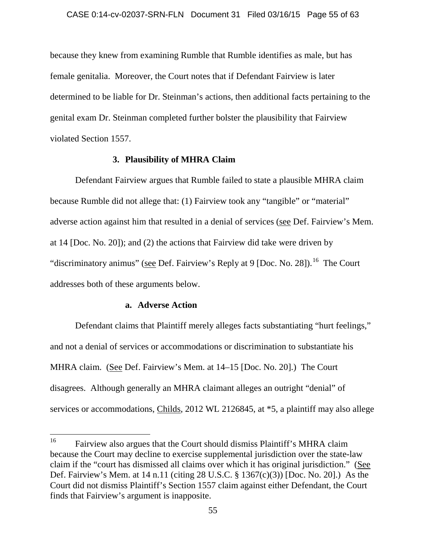because they knew from examining Rumble that Rumble identifies as male, but has female genitalia. Moreover, the Court notes that if Defendant Fairview is later determined to be liable for Dr. Steinman's actions, then additional facts pertaining to the genital exam Dr. Steinman completed further bolster the plausibility that Fairview violated Section 1557.

### **3. Plausibility of MHRA Claim**

Defendant Fairview argues that Rumble failed to state a plausible MHRA claim because Rumble did not allege that: (1) Fairview took any "tangible" or "material" adverse action against him that resulted in a denial of services (see Def. Fairview's Mem. at 14 [Doc. No. 20]); and (2) the actions that Fairview did take were driven by "discriminatory animus" (see Def. Fairview's Reply at 9 [Doc. No. 28]).<sup>16</sup> The Court addresses both of these arguments below.

### **a. Adverse Action**

Defendant claims that Plaintiff merely alleges facts substantiating "hurt feelings," and not a denial of services or accommodations or discrimination to substantiate his MHRA claim. (See Def. Fairview's Mem. at 14–15 [Doc. No. 20].) The Court disagrees. Although generally an MHRA claimant alleges an outright "denial" of services or accommodations, Childs, 2012 WL 2126845, at \*5, a plaintiff may also allege

<sup>&</sup>lt;sup>16</sup> Fairview also argues that the Court should dismiss Plaintiff's MHRA claim because the Court may decline to exercise supplemental jurisdiction over the state-law claim if the "court has dismissed all claims over which it has original jurisdiction." (See Def. Fairview's Mem. at 14 n.11 (citing 28 U.S.C. § 1367(c)(3)) [Doc. No. 20].) As the Court did not dismiss Plaintiff's Section 1557 claim against either Defendant, the Court finds that Fairview's argument is inapposite.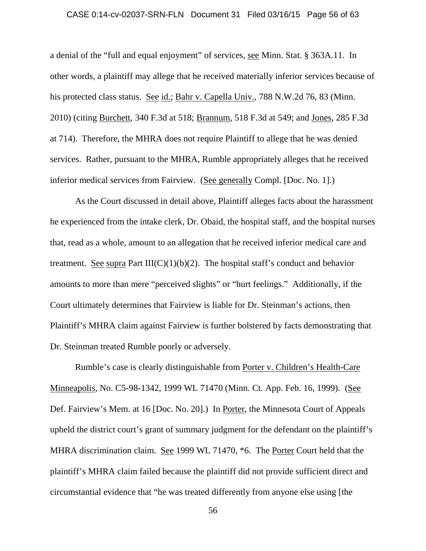### CASE 0:14-cv-02037-SRN-FLN Document 31 Filed 03/16/15 Page 56 of 63

a denial of the "full and equal enjoyment" of services, see Minn. Stat. § 363A.11. In other words, a plaintiff may allege that he received materially inferior services because of his protected class status. See id.; Bahr v. Capella Univ., 788 N.W.2d 76, 83 (Minn. 2010) (citing Burchett, 340 F.3d at 518; Brannum, 518 F.3d at 549; and Jones, 285 F.3d at 714). Therefore, the MHRA does not require Plaintiff to allege that he was denied services. Rather, pursuant to the MHRA, Rumble appropriately alleges that he received inferior medical services from Fairview. (See generally Compl. [Doc. No. 1].)

As the Court discussed in detail above, Plaintiff alleges facts about the harassment he experienced from the intake clerk, Dr. Obaid, the hospital staff, and the hospital nurses that, read as a whole, amount to an allegation that he received inferior medical care and treatment. See supra Part  $III(C)(1)(b)(2)$ . The hospital staff's conduct and behavior amounts to more than mere "perceived slights" or "hurt feelings." Additionally, if the Court ultimately determines that Fairview is liable for Dr. Steinman's actions, then Plaintiff's MHRA claim against Fairview is further bolstered by facts demonstrating that Dr. Steinman treated Rumble poorly or adversely.

Rumble's case is clearly distinguishable from Porter v. Children's Health-Care Minneapolis, No. C5-98-1342, 1999 WL 71470 (Minn. Ct. App. Feb. 16, 1999). (See Def. Fairview's Mem. at 16 [Doc. No. 20].) In Porter, the Minnesota Court of Appeals upheld the district court's grant of summary judgment for the defendant on the plaintiff's MHRA discrimination claim. See 1999 WL 71470, \*6. The Porter Court held that the plaintiff's MHRA claim failed because the plaintiff did not provide sufficient direct and circumstantial evidence that "he was treated differently from anyone else using [the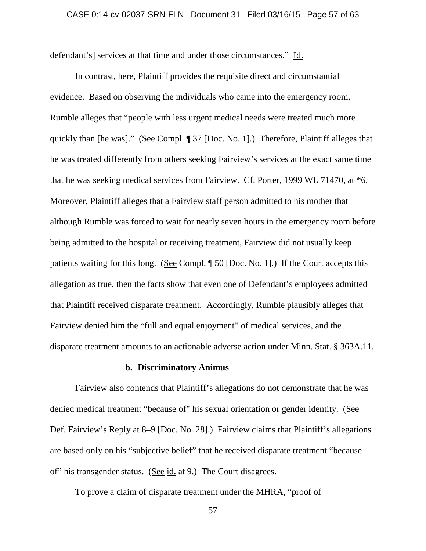defendant's] services at that time and under those circumstances." Id.

In contrast, here, Plaintiff provides the requisite direct and circumstantial evidence. Based on observing the individuals who came into the emergency room, Rumble alleges that "people with less urgent medical needs were treated much more quickly than [he was]." (See Compl. ¶ 37 [Doc. No. 1].) Therefore, Plaintiff alleges that he was treated differently from others seeking Fairview's services at the exact same time that he was seeking medical services from Fairview. Cf. Porter, 1999 WL 71470, at \*6. Moreover, Plaintiff alleges that a Fairview staff person admitted to his mother that although Rumble was forced to wait for nearly seven hours in the emergency room before being admitted to the hospital or receiving treatment, Fairview did not usually keep patients waiting for this long. (See Compl. ¶ 50 [Doc. No. 1].) If the Court accepts this allegation as true, then the facts show that even one of Defendant's employees admitted that Plaintiff received disparate treatment. Accordingly, Rumble plausibly alleges that Fairview denied him the "full and equal enjoyment" of medical services, and the disparate treatment amounts to an actionable adverse action under Minn. Stat. § 363A.11.

### **b. Discriminatory Animus**

Fairview also contends that Plaintiff's allegations do not demonstrate that he was denied medical treatment "because of" his sexual orientation or gender identity. (See Def. Fairview's Reply at 8–9 [Doc. No. 28].) Fairview claims that Plaintiff's allegations are based only on his "subjective belief" that he received disparate treatment "because of" his transgender status. (See id. at 9.) The Court disagrees.

To prove a claim of disparate treatment under the MHRA, "proof of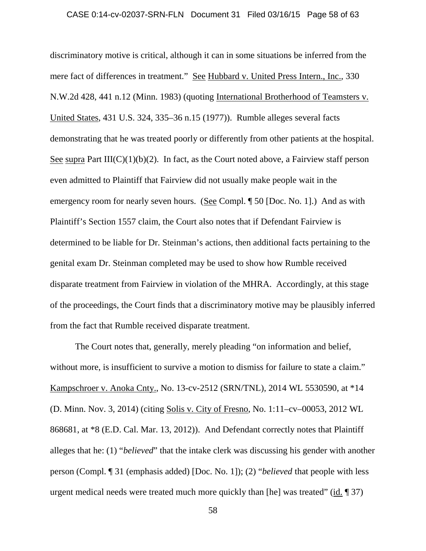### CASE 0:14-cv-02037-SRN-FLN Document 31 Filed 03/16/15 Page 58 of 63

discriminatory motive is critical, although it can in some situations be inferred from the mere fact of differences in treatment." See Hubbard v. United Press Intern., Inc., 330 N.W.2d 428, 441 n.12 (Minn. 1983) (quoting International Brotherhood of Teamsters v. United States, 431 U.S. 324, 335–36 n.15 (1977)). Rumble alleges several facts demonstrating that he was treated poorly or differently from other patients at the hospital. See supra Part  $III(C)(1)(b)(2)$ . In fact, as the Court noted above, a Fairview staff person even admitted to Plaintiff that Fairview did not usually make people wait in the emergency room for nearly seven hours. (See Compl.  $\sqrt{2}$  50 [Doc. No. 1].) And as with Plaintiff's Section 1557 claim, the Court also notes that if Defendant Fairview is determined to be liable for Dr. Steinman's actions, then additional facts pertaining to the genital exam Dr. Steinman completed may be used to show how Rumble received disparate treatment from Fairview in violation of the MHRA. Accordingly, at this stage of the proceedings, the Court finds that a discriminatory motive may be plausibly inferred from the fact that Rumble received disparate treatment.

The Court notes that, generally, merely pleading "on information and belief, without more, is insufficient to survive a motion to dismiss for failure to state a claim." Kampschroer v. Anoka Cnty., No. 13-cv-2512 (SRN/TNL), 2014 WL 5530590, at \*14 (D. Minn. Nov. 3, 2014) (citing Solis v. City of Fresno, No. 1:11–cv–00053, 2012 WL 868681, at \*8 (E.D. Cal. Mar. 13, 2012)). And Defendant correctly notes that Plaintiff alleges that he: (1) "*believed*" that the intake clerk was discussing his gender with another person (Compl. ¶ 31 (emphasis added) [Doc. No. 1]); (2) "*believed* that people with less urgent medical needs were treated much more quickly than [he] was treated" (id. ¶ 37)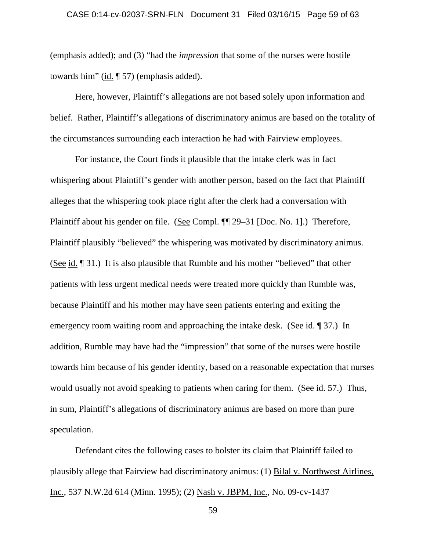(emphasis added); and (3) "had the *impression* that some of the nurses were hostile towards him" (id.  $\llbracket$  57) (emphasis added).

Here, however, Plaintiff's allegations are not based solely upon information and belief. Rather, Plaintiff's allegations of discriminatory animus are based on the totality of the circumstances surrounding each interaction he had with Fairview employees.

For instance, the Court finds it plausible that the intake clerk was in fact whispering about Plaintiff's gender with another person, based on the fact that Plaintiff alleges that the whispering took place right after the clerk had a conversation with Plaintiff about his gender on file. (See Compl. ¶¶ 29–31 [Doc. No. 1].) Therefore, Plaintiff plausibly "believed" the whispering was motivated by discriminatory animus. (See id. ¶ 31.) It is also plausible that Rumble and his mother "believed" that other patients with less urgent medical needs were treated more quickly than Rumble was, because Plaintiff and his mother may have seen patients entering and exiting the emergency room waiting room and approaching the intake desk. (See id. 1937.) In addition, Rumble may have had the "impression" that some of the nurses were hostile towards him because of his gender identity, based on a reasonable expectation that nurses would usually not avoid speaking to patients when caring for them. (See id. 57.) Thus, in sum, Plaintiff's allegations of discriminatory animus are based on more than pure speculation.

Defendant cites the following cases to bolster its claim that Plaintiff failed to plausibly allege that Fairview had discriminatory animus: (1) Bilal v. Northwest Airlines, Inc., 537 N.W.2d 614 (Minn. 1995); (2) Nash v. JBPM, Inc., No. 09-cv-1437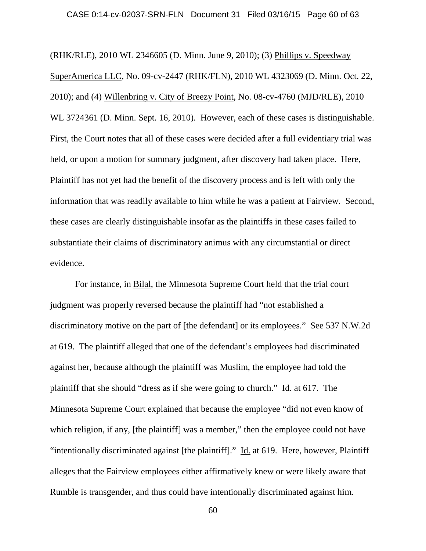### CASE 0:14-cv-02037-SRN-FLN Document 31 Filed 03/16/15 Page 60 of 63

(RHK/RLE), 2010 WL 2346605 (D. Minn. June 9, 2010); (3) Phillips v. Speedway SuperAmerica LLC, No. 09-cv-2447 (RHK/FLN), 2010 WL 4323069 (D. Minn. Oct. 22, 2010); and (4) Willenbring v. City of Breezy Point, No. 08-cv-4760 (MJD/RLE), 2010 WL 3724361 (D. Minn. Sept. 16, 2010). However, each of these cases is distinguishable. First, the Court notes that all of these cases were decided after a full evidentiary trial was held, or upon a motion for summary judgment, after discovery had taken place. Here, Plaintiff has not yet had the benefit of the discovery process and is left with only the information that was readily available to him while he was a patient at Fairview. Second, these cases are clearly distinguishable insofar as the plaintiffs in these cases failed to substantiate their claims of discriminatory animus with any circumstantial or direct evidence.

For instance, in Bilal, the Minnesota Supreme Court held that the trial court judgment was properly reversed because the plaintiff had "not established a discriminatory motive on the part of [the defendant] or its employees." See 537 N.W.2d at 619. The plaintiff alleged that one of the defendant's employees had discriminated against her, because although the plaintiff was Muslim, the employee had told the plaintiff that she should "dress as if she were going to church." Id. at 617. The Minnesota Supreme Court explained that because the employee "did not even know of which religion, if any, [the plaintiff] was a member," then the employee could not have "intentionally discriminated against [the plaintiff]." Id. at 619. Here, however, Plaintiff alleges that the Fairview employees either affirmatively knew or were likely aware that Rumble is transgender, and thus could have intentionally discriminated against him.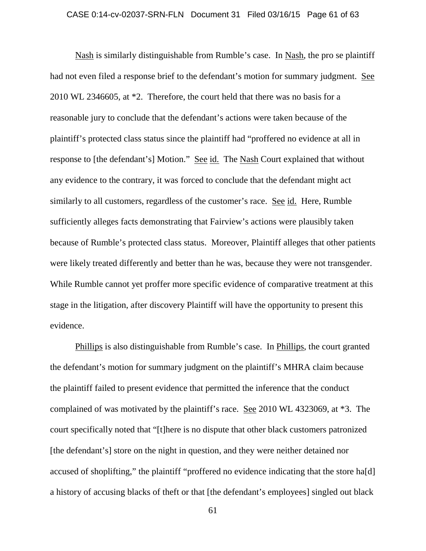### CASE 0:14-cv-02037-SRN-FLN Document 31 Filed 03/16/15 Page 61 of 63

Nash is similarly distinguishable from Rumble's case. In Nash, the pro se plaintiff had not even filed a response brief to the defendant's motion for summary judgment. See 2010 WL 2346605, at \*2. Therefore, the court held that there was no basis for a reasonable jury to conclude that the defendant's actions were taken because of the plaintiff's protected class status since the plaintiff had "proffered no evidence at all in response to [the defendant's] Motion." See id. The Nash Court explained that without any evidence to the contrary, it was forced to conclude that the defendant might act similarly to all customers, regardless of the customer's race. See id. Here, Rumble sufficiently alleges facts demonstrating that Fairview's actions were plausibly taken because of Rumble's protected class status. Moreover, Plaintiff alleges that other patients were likely treated differently and better than he was, because they were not transgender. While Rumble cannot yet proffer more specific evidence of comparative treatment at this stage in the litigation, after discovery Plaintiff will have the opportunity to present this evidence.

Phillips is also distinguishable from Rumble's case. In Phillips, the court granted the defendant's motion for summary judgment on the plaintiff's MHRA claim because the plaintiff failed to present evidence that permitted the inference that the conduct complained of was motivated by the plaintiff's race. See 2010 WL 4323069, at \*3. The court specifically noted that "[t]here is no dispute that other black customers patronized [the defendant's] store on the night in question, and they were neither detained nor accused of shoplifting," the plaintiff "proffered no evidence indicating that the store ha[d] a history of accusing blacks of theft or that [the defendant's employees] singled out black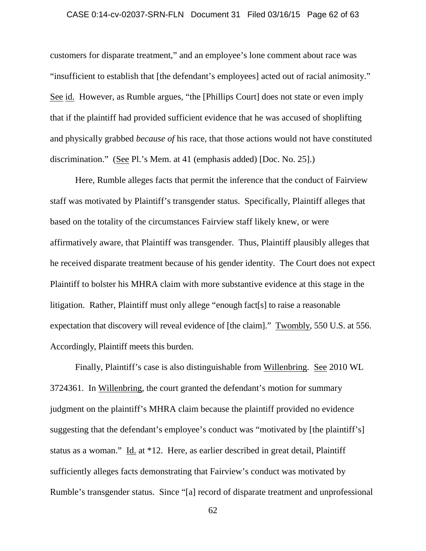### CASE 0:14-cv-02037-SRN-FLN Document 31 Filed 03/16/15 Page 62 of 63

customers for disparate treatment," and an employee's lone comment about race was "insufficient to establish that [the defendant's employees] acted out of racial animosity." See id. However, as Rumble argues, "the [Phillips Court] does not state or even imply that if the plaintiff had provided sufficient evidence that he was accused of shoplifting and physically grabbed *because of* his race, that those actions would not have constituted discrimination." (See Pl.'s Mem. at 41 (emphasis added) [Doc. No. 25].)

Here, Rumble alleges facts that permit the inference that the conduct of Fairview staff was motivated by Plaintiff's transgender status. Specifically, Plaintiff alleges that based on the totality of the circumstances Fairview staff likely knew, or were affirmatively aware, that Plaintiff was transgender. Thus, Plaintiff plausibly alleges that he received disparate treatment because of his gender identity. The Court does not expect Plaintiff to bolster his MHRA claim with more substantive evidence at this stage in the litigation. Rather, Plaintiff must only allege "enough fact[s] to raise a reasonable expectation that discovery will reveal evidence of [the claim]." Twombly, 550 U.S. at 556. Accordingly, Plaintiff meets this burden.

Finally, Plaintiff's case is also distinguishable from Willenbring. See 2010 WL 3724361. In Willenbring, the court granted the defendant's motion for summary judgment on the plaintiff's MHRA claim because the plaintiff provided no evidence suggesting that the defendant's employee's conduct was "motivated by [the plaintiff's] status as a woman." Id. at \*12. Here, as earlier described in great detail, Plaintiff sufficiently alleges facts demonstrating that Fairview's conduct was motivated by Rumble's transgender status. Since "[a] record of disparate treatment and unprofessional